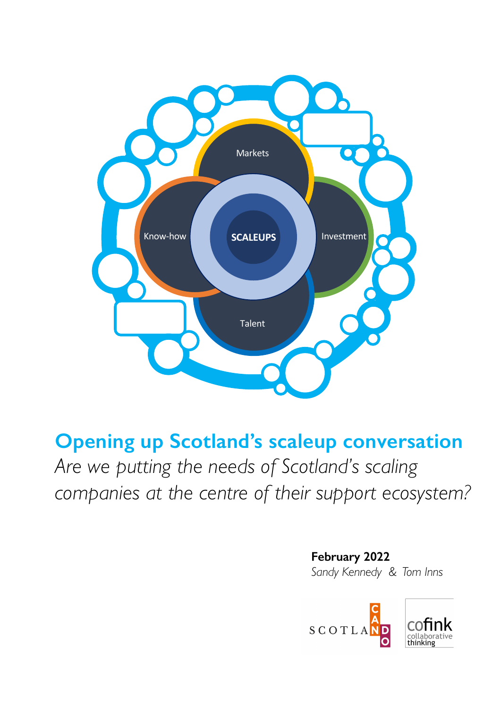

**Opening up Scotland's scaleup conversation** *Are we putting the needs of Scotland's scaling companies at the centre of their support ecosystem?*

> **February 2022** *Sandy Kennedy & Tom Inns*

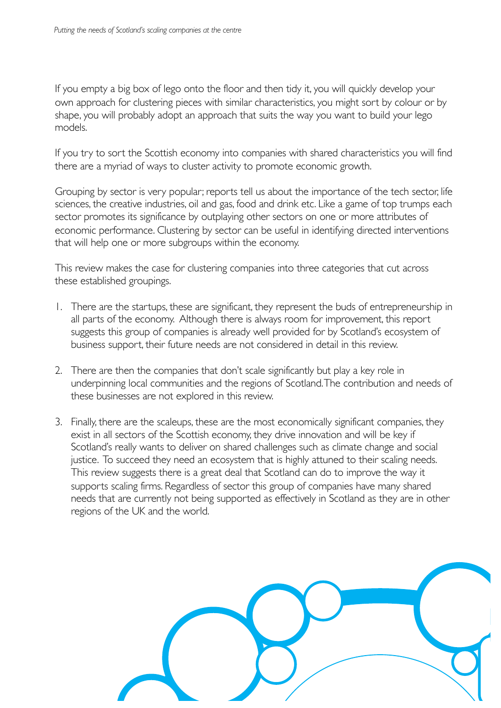If you empty a big box of lego onto the floor and then tidy it, you will quickly develop your own approach for clustering pieces with similar characteristics, you might sort by colour or by shape, you will probably adopt an approach that suits the way you want to build your lego models.

If you try to sort the Scottish economy into companies with shared characteristics you will find there are a myriad of ways to cluster activity to promote economic growth.

Grouping by sector is very popular; reports tell us about the importance of the tech sector, life sciences, the creative industries, oil and gas, food and drink etc. Like a game of top trumps each sector promotes its significance by outplaying other sectors on one or more attributes of economic performance. Clustering by sector can be useful in identifying directed interventions that will help one or more subgroups within the economy.

This review makes the case for clustering companies into three categories that cut across these established groupings.

- 1. There are the startups, these are significant, they represent the buds of entrepreneurship in all parts of the economy. Although there is always room for improvement, this report suggests this group of companies is already well provided for by Scotland's ecosystem of business support, their future needs are not considered in detail in this review.
- 2. There are then the companies that don't scale significantly but play a key role in underpinning local communities and the regions of Scotland. The contribution and needs of these businesses are not explored in this review.
- 3. Finally, there are the scaleups, these are the most economically significant companies, they exist in all sectors of the Scottish economy, they drive innovation and will be key if Scotland's really wants to deliver on shared challenges such as climate change and social justice. To succeed they need an ecosystem that is highly attuned to their scaling needs. This review suggests there is a great deal that Scotland can do to improve the way it supports scaling firms. Regardless of sector this group of companies have many shared needs that are currently not being supported as effectively in Scotland as they are in other regions of the UK and the world.

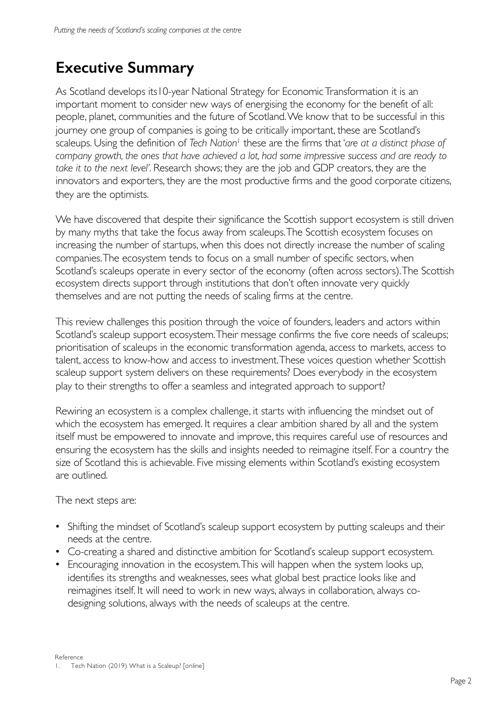# **Executive Summary**

As Scotland develops its10-year National Strategy for Economic Transformation it is an important moment to consider new ways of energising the economy for the benefit of all: people, planet, communities and the future of Scotland. We know that to be successful in this journey one group of companies is going to be critically important, these are Scotland's scaleups. Using the definition of *Tech Nation*<sup>1</sup> these are the firms that '*are at a distinct phase of company growth, the ones that have achieved a lot, had some impressive success and are ready to take it to the next level'.* Research shows; they are the job and GDP creators, they are the innovators and exporters, they are the most productive firms and the good corporate citizens, they are the optimists.

We have discovered that despite their significance the Scottish support ecosystem is still driven by many myths that take the focus away from scaleups. The Scottish ecosystem focuses on increasing the number of startups, when this does not directly increase the number of scaling companies. The ecosystem tends to focus on a small number of specific sectors, when Scotland's scaleups operate in every sector of the economy (often across sectors). The Scottish ecosystem directs support through institutions that don't often innovate very quickly themselves and are not putting the needs of scaling firms at the centre.

This review challenges this position through the voice of founders, leaders and actors within Scotland's scaleup support ecosystem. Their message confirms the five core needs of scaleups; prioritisation of scaleups in the economic transformation agenda, access to markets, access to talent, access to know-how and access to investment. These voices question whether Scottish scaleup support system delivers on these requirements? Does everybody in the ecosystem play to their strengths to offer a seamless and integrated approach to support?

Rewiring an ecosystem is a complex challenge, it starts with influencing the mindset out of which the ecosystem has emerged. It requires a clear ambition shared by all and the system itself must be empowered to innovate and improve, this requires careful use of resources and ensuring the ecosystem has the skills and insights needed to reimagine itself. For a country the size of Scotland this is achievable. Five missing elements within Scotland's existing ecosystem are outlined.

The next steps are:

- Shifting the mindset of Scotland's scaleup support ecosystem by putting scaleups and their needs at the centre.
- Co-creating a shared and distinctive ambition for Scotland's scaleup support ecosystem.
- Encouraging innovation in the ecosystem. This will happen when the system looks up, identifies its strengths and weaknesses, sees what global best practice looks like and reimagines itself. It will need to work in new ways, always in collaboration, always codesigning solutions, always with the needs of scaleups at the centre.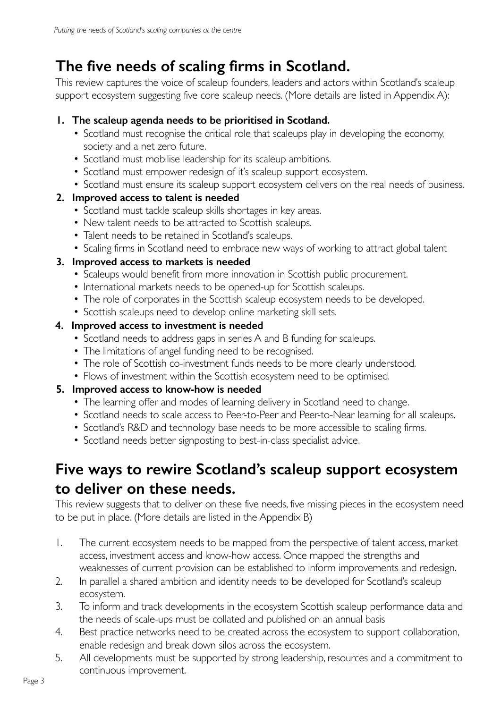# **The five needs of scaling firms in Scotland.**

This review captures the voice of scaleup founders, leaders and actors within Scotland's scaleup support ecosystem suggesting five core scaleup needs. (More details are listed in Appendix A):

## **1. The scaleup agenda needs to be prioritised in Scotland.**

- Scotland must recognise the critical role that scaleups play in developing the economy, society and a net zero future.
- Scotland must mobilise leadership for its scaleup ambitions.
- Scotland must empower redesign of it's scaleup support ecosystem.
- Scotland must ensure its scaleup support ecosystem delivers on the real needs of business.

## **2. Improved access to talent is needed**

- Scotland must tackle scaleup skills shortages in key areas.
- New talent needs to be attracted to Scottish scaleups.
- Talent needs to be retained in Scotland's scaleups.
- Scaling firms in Scotland need to embrace new ways of working to attract global talent

## **3. Improved access to markets is needed**

- Scaleups would benefit from more innovation in Scottish public procurement.
- International markets needs to be opened-up for Scottish scaleups.
- The role of corporates in the Scottish scaleup ecosystem needs to be developed.
- Scottish scaleups need to develop online marketing skill sets.

## **4. Improved access to investment is needed**

- Scotland needs to address gaps in series A and B funding for scaleups.
- The limitations of angel funding need to be recognised.
- The role of Scottish co-investment funds needs to be more clearly understood.
- Flows of investment within the Scottish ecosystem need to be optimised.

## **5. Improved access to know-how is needed**

- The learning offer and modes of learning delivery in Scotland need to change.
- Scotland needs to scale access to Peer-to-Peer and Peer-to-Near learning for all scaleups.
- Scotland's R&D and technology base needs to be more accessible to scaling firms.
- Scotland needs better signposting to best-in-class specialist advice.

# **Five ways to rewire Scotland's scaleup support ecosystem to deliver on these needs.**

This review suggests that to deliver on these five needs, five missing pieces in the ecosystem need to be put in place. (More details are listed in the Appendix B)

- 1. The current ecosystem needs to be mapped from the perspective of talent access, market access, investment access and know-how access. Once mapped the strengths and weaknesses of current provision can be established to inform improvements and redesign.
- 2. In parallel a shared ambition and identity needs to be developed for Scotland's scaleup ecosystem.
- 3. To inform and track developments in the ecosystem Scottish scaleup performance data and the needs of scale-ups must be collated and published on an annual basis
- 4. Best practice networks need to be created across the ecosystem to support collaboration, enable redesign and break down silos across the ecosystem.
- 5. All developments must be supported by strong leadership, resources and a commitment to continuous improvement.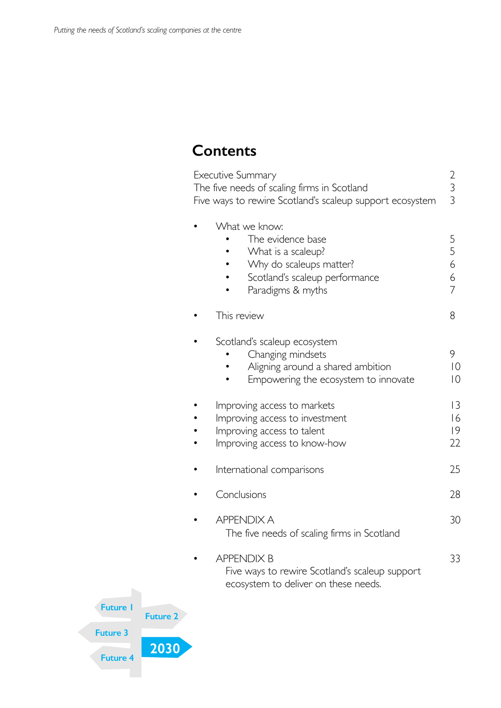# **Contents**

|     | Executive Summary<br>The five needs of scaling firms in Scotland<br>Five ways to rewire Scotland's scaleup support ecosystem               | $\begin{array}{c} 2 \\ 3 \\ 3 \end{array}$ |
|-----|--------------------------------------------------------------------------------------------------------------------------------------------|--------------------------------------------|
|     | What we know:<br>The evidence base<br>What is a scaleup?<br>Why do scaleups matter?<br>Scotland's scaleup performance<br>Paradigms & myths | 5<br>5<br>6<br>6<br>$\overline{7}$         |
|     | This review                                                                                                                                | 8                                          |
|     | Scotland's scaleup ecosystem<br>Changing mindsets<br>Aligning around a shared ambition<br>Empowering the ecosystem to innovate             | 9<br>$\overline{0}$<br>$\overline{0}$      |
|     | Improving access to markets<br>Improving access to investment<br>Improving access to talent<br>Improving access to know-how                | 3<br>16<br> 9<br>22                        |
|     | International comparisons                                                                                                                  | 25                                         |
|     | Conclusions                                                                                                                                | 28                                         |
|     | <b>APPENDIX A</b><br>The five needs of scaling firms in Scotland                                                                           | 30                                         |
|     | <b>APPENDIX B</b><br>Five ways to rewire Scotland's scaleup support<br>ecosystem to deliver on these needs.                                | 33                                         |
| : 2 |                                                                                                                                            |                                            |

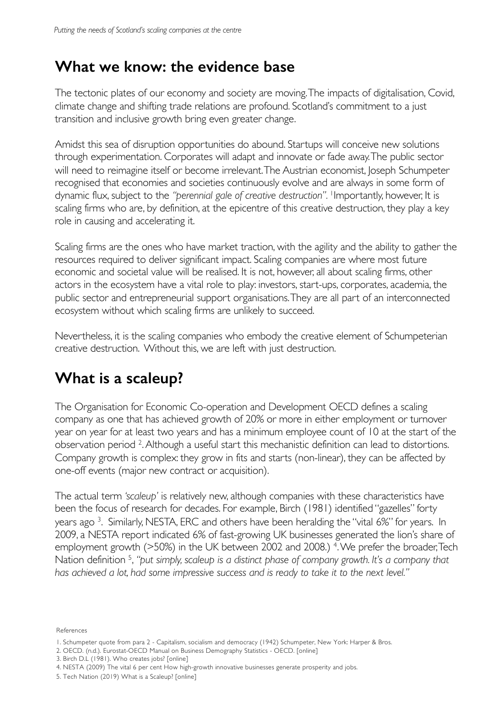# **What we know: the evidence base**

The tectonic plates of our economy and society are moving. The impacts of digitalisation, Covid, climate change and shifting trade relations are profound. Scotland's commitment to a just transition and inclusive growth bring even greater change.

Amidst this sea of disruption opportunities do abound. Startups will conceive new solutions through experimentation. Corporates will adapt and innovate or fade away. The public sector will need to reimagine itself or become irrelevant. The Austrian economist, loseph Schumpeter recognised that economies and societies continuously evolve and are always in some form of dynamic flux, subject to the *"perennial gale of creative destruction".* 1Importantly, however, It is scaling firms who are, by definition, at the epicentre of this creative destruction, they play a key role in causing and accelerating it.

Scaling firms are the ones who have market traction, with the agility and the ability to gather the resources required to deliver significant impact. Scaling companies are where most future economic and societal value will be realised. It is not, however, all about scaling firms, other actors in the ecosystem have a vital role to play: investors, start-ups, corporates, academia, the public sector and entrepreneurial support organisations. They are all part of an interconnected ecosystem without which scaling firms are unlikely to succeed.

Nevertheless, it is the scaling companies who embody the creative element of Schumpeterian creative destruction. Without this, we are left with just destruction.

# **What is a scaleup?**

The Organisation for Economic Co-operation and Development OECD defines a scaling company as one that has achieved growth of 20% or more in either employment or turnover year on year for at least two years and has a minimum employee count of 10 at the start of the observation period 2. Although a useful start this mechanistic definition can lead to distortions. Company growth is complex: they grow in fits and starts (non-linear), they can be affected by one-off events (major new contract or acquisition).

**2032** *has achieved a lot, had some impressive success and is ready to take it to the next level."*  The actual term *'scaleup'* is relatively new, although companies with these characteristics have been the focus of research for decades. For example, Birch (1981) identified "gazelles" forty years ago 3. Similarly, NESTA, ERC and others have been heralding the "vital 6%" for years. In 2009, a NESTA report indicated 6% of fast-growing UK businesses generated the lion's share of employment growth (>50%) in the UK between 2002 and 2008.)<sup>4</sup>. We prefer the broader, Tech Nation definition 5, *"put simply, scaleup is a distinct phase of company growth. It's a company that* 

References

3. Birch D.L (1981). Who creates jobs? [online]

<sup>1.</sup> Schumpeter quote from para 2 - Capitalism, socialism and democracy (1942) Schumpeter, New York: Harper & Bros.

<sup>2.</sup> OECD. (n.d.). Eurostat-OECD Manual on Business Demography Statistics - OECD. [online]

<sup>4.</sup> NESTA (2009) The vital 6 per cent How high-growth innovative businesses generate prosperity and jobs.

<sup>5.</sup> Tech Nation (2019) What is a Scaleup? [online]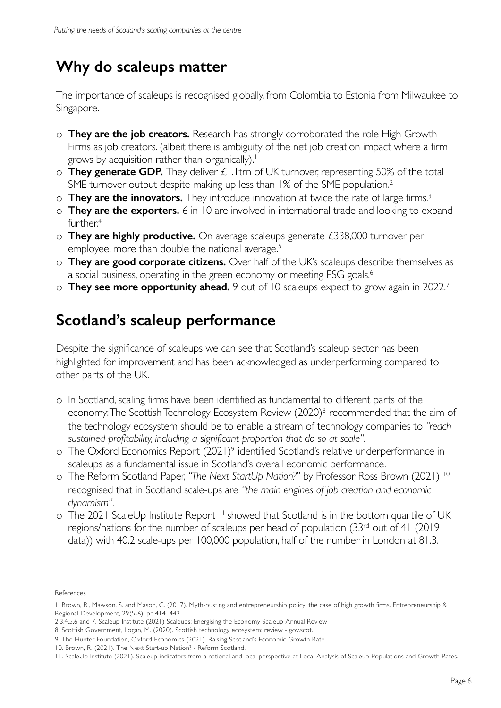# **Why do scaleups matter**

The importance of scaleups is recognised globally, from Colombia to Estonia from Milwaukee to Singapore.

- o **They are the job creators.** Research has strongly corroborated the role High Growth Firms as job creators. (albeit there is ambiguity of the net job creation impact where a firm grows by acquisition rather than organically).<sup>1</sup>
- o **They generate GDP.** They deliver £1.1trn of UK turnover, representing 50% of the total SME turnover output despite making up less than 1% of the SME population.<sup>2</sup>
- o **They are the innovators.** They introduce innovation at twice the rate of large firms.3
- o **They are the exporters.** 6 in 10 are involved in international trade and looking to expand further.<sup>4</sup>
- o **They are highly productive.** On average scaleups generate £338,000 turnover per employee, more than double the national average.<sup>5</sup>
- o **They are good corporate citizens.** Over half of the UK's scaleups describe themselves as a social business, operating in the green economy or meeting ESG goals.<sup>6</sup>
- o **They see more opportunity ahead.** 9 out of 10 scaleups expect to grow again in 2022.7

# **Scotland's scaleup performance**

Despite the significance of scaleups we can see that Scotland's scaleup sector has been highlighted for improvement and has been acknowledged as underperforming compared to other parts of the UK.

- o In Scotland, scaling firms have been identified as fundamental to different parts of the economy: The Scottish Technology Ecosystem Review (2020)<sup>8</sup> recommended that the aim of the technology ecosystem should be to enable a stream of technology companies to *"reach sustained profitability, including a significant proportion that do so at scale".*
- o The Oxford Economics Report (2021)9 identified Scotland's relative underperformance in scaleups as a fundamental issue in Scotland's overall economic performance.
- o The Reform Scotland Paper, *"The Next StartUp Nation?"* by Professor Ross Brown (2021) 10 recognised that in Scotland scale-ups are *"the main engines of job creation and economic dynamism".*
- o The 2021 ScaleUp Institute Report<sup>11</sup> showed that Scotland is in the bottom quartile of UK regions/nations for the number of scaleups per head of population (33rd out of 41 (2019 data)) with 40.2 scale-ups per 100,000 population, half of the number in London at 81.3.

References

<sup>1.</sup> Brown, R., Mawson, S. and Mason, C. (2017). Myth-busting and entrepreneurship policy: the case of high growth firms. Entrepreneurship & Regional Development, 29(5-6), pp.414–443.

<sup>2,3,4,5,6</sup> and 7. Scaleup Institute (2021) Scaleups: Energising the Economy Scaleup Annual Review

<sup>8.</sup> Scottish Government, Logan, M. (2020). Scottish technology ecosystem: review - gov.scot.

<sup>9.</sup> The Hunter Foundation, Oxford Economics (2021). Raising Scotland's Economic Growth Rate.

<sup>10.</sup> Brown, R. (2021). The Next Start-up Nation? - Reform Scotland.

<sup>11.</sup> ScaleUp Institute (2021). Scaleup indicators from a national and local perspective at Local Analysis of Scaleup Populations and Growth Rates.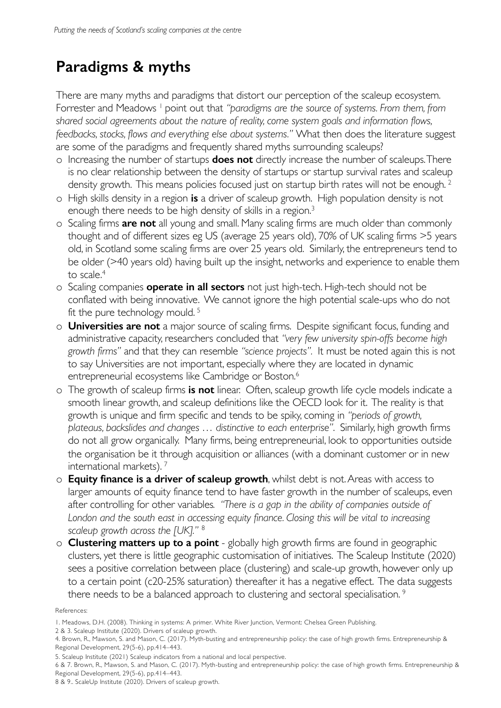# **Paradigms & myths**

There are many myths and paradigms that distort our perception of the scaleup ecosystem. Forrester and Meadows <sup>1</sup> point out that "paradigms are the source of systems. From them, from *shared social agreements about the nature of reality, come system goals and information flows, feedbacks, stocks, flows and everything else about systems."* What then does the literature suggest are some of the paradigms and frequently shared myths surrounding scaleups?

- o Increasing the number of startups **does not** directly increase the number of scaleups. There is no clear relationship between the density of startups or startup survival rates and scaleup density growth. This means policies focused just on startup birth rates will not be enough.<sup>2</sup>
- o High skills density in a region **is** a driver of scaleup growth. High population density is not enough there needs to be high density of skills in a region.<sup>3</sup>
- o Scaling firms **are not** all young and small. Many scaling firms are much older than commonly thought and of different sizes eg US (average 25 years old), 70% of UK scaling firms >5 years old, in Scotland some scaling firms are over 25 years old. Similarly, the entrepreneurs tend to be older (>40 years old) having built up the insight, networks and experience to enable them to scale.4
- o Scaling companies **operate in all sectors** not just high-tech. High-tech should not be conflated with being innovative. We cannot ignore the high potential scale-ups who do not fit the pure technology mould. 5
- o **Universities are not** a major source of scaling firms. Despite significant focus, funding and administrative capacity, researchers concluded that *"very few university spin-offs become high growth firms"* and that they can resemble *"science projects".* It must be noted again this is not to say Universities are not important, especially where they are located in dynamic entrepreneurial ecosystems like Cambridge or Boston.6
- o The growth of scaleup firms **is not** linear. Often, scaleup growth life cycle models indicate a smooth linear growth, and scaleup definitions like the OECD look for it. The reality is that growth is unique and firm specific and tends to be spiky, coming in *"periods of growth, plateaus, backslides and changes … distinctive to each enterprise"*. Similarly, high growth firms do not all grow organically. Many firms, being entrepreneurial, look to opportunities outside the organisation be it through acquisition or alliances (with a dominant customer or in new international markets). 7
- o **Equity finance is a driver of scaleup growth**, whilst debt is not. Areas with access to larger amounts of equity finance tend to have faster growth in the number of scaleups, even after controlling for other variables*. "There is a gap in the ability of companies outside of London and the south east in accessing equity finance. Closing this will be vital to increasing scaleup growth across the [UK]."* <sup>8</sup>
- o **Clustering matters up to a point**  globally high growth firms are found in geographic clusters, yet there is little geographic customisation of initiatives. The Scaleup Institute (2020) sees a positive correlation between place (clustering) and scale-up growth, however only up to a certain point (c20-25% saturation) thereafter it has a negative effect. The data suggests there needs to be a balanced approach to clustering and sectoral specialisation.<sup>9</sup>

#### References:

2 & 3. Scaleup Institute (2020). Drivers of scaleup growth.

<sup>1.</sup> Meadows, D.H. (2008). Thinking in systems: A primer. White River Junction, Vermont: Chelsea Green Publishing.

<sup>4.</sup> Brown, R., Mawson, S. and Mason, C. (2017). Myth-busting and entrepreneurship policy: the case of high growth firms. Entrepreneurship & Regional Development, 29(5-6), pp.414–443.

<sup>5.</sup> Scaleup Institute (2021) Scaleup indicators from a national and local perspective.

<sup>6 &</sup>amp; 7. Brown, R., Mawson, S. and Mason, C. (2017). Myth-busting and entrepreneurship policy: the case of high growth firms. Entrepreneurship & Regional Development, 29(5-6), pp.414–443.

<sup>8 &</sup>amp; 9.. ScaleUp Institute (2020). Drivers of scaleup growth.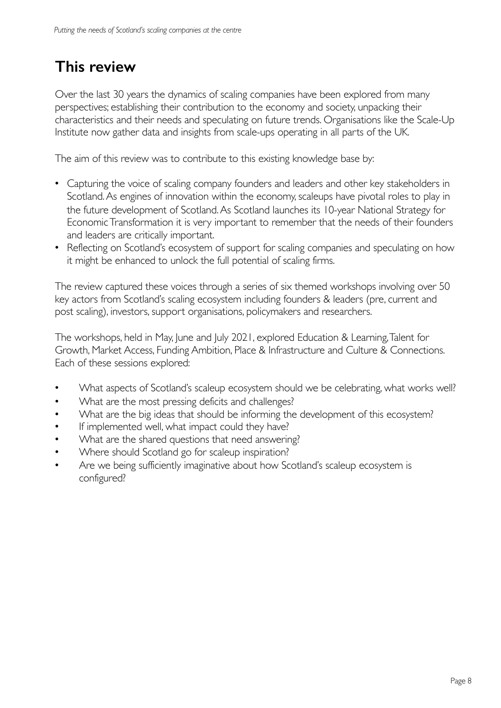# **This review**

Over the last 30 years the dynamics of scaling companies have been explored from many perspectives; establishing their contribution to the economy and society, unpacking their characteristics and their needs and speculating on future trends. Organisations like the Scale-Up Institute now gather data and insights from scale-ups operating in all parts of the UK.

The aim of this review was to contribute to this existing knowledge base by:

- Capturing the voice of scaling company founders and leaders and other key stakeholders in Scotland. As engines of innovation within the economy, scaleups have pivotal roles to play in the future development of Scotland. As Scotland launches its 10-year National Strategy for Economic Transformation it is very important to remember that the needs of their founders and leaders are critically important.
- Reflecting on Scotland's ecosystem of support for scaling companies and speculating on how it might be enhanced to unlock the full potential of scaling firms.

The review captured these voices through a series of six themed workshops involving over 50 key actors from Scotland's scaling ecosystem including founders & leaders (pre, current and post scaling), investors, support organisations, policymakers and researchers.

The workshops, held in May, June and July 2021, explored Education & Learning, Talent for Growth, Market Access, Funding Ambition, Place & Infrastructure and Culture & Connections. Each of these sessions explored:

- What aspects of Scotland's scaleup ecosystem should we be celebrating, what works well?
- What are the most pressing deficits and challenges?
- What are the big ideas that should be informing the development of this ecosystem?
- If implemented well, what impact could they have?
- What are the shared questions that need answering?
- Where should Scotland go for scaleup inspiration?
- Are we being sufficiently imaginative about how Scotland's scaleup ecosystem is configured?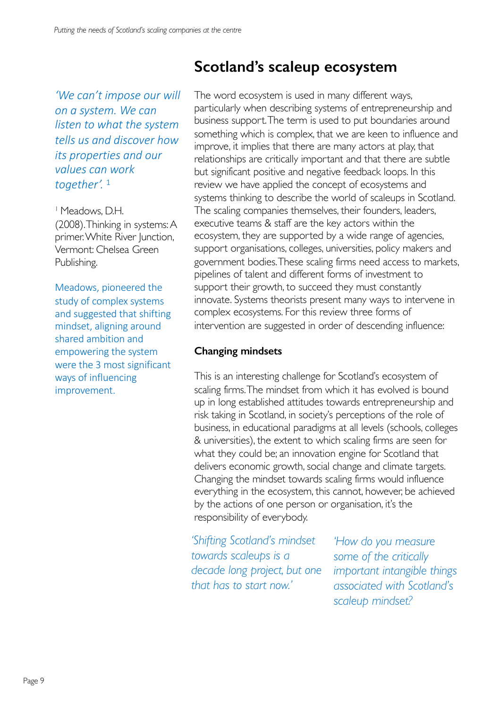*'We can't impose our will on a system. We can listen to what the system tells us and discover how its properties and our values can work together'.* <sup>1</sup>

1 Meadows, D.H. (2008).Thinking in systems: A primer. White River Junction, Vermont: Chelsea Green Publishing.

Meadows, pioneered the study of complex systems and suggested that shifting mindset, aligning around shared ambition and empowering the system were the 3 most significant ways of influencing improvement.

# **Scotland's scaleup ecosystem**

The word ecosystem is used in many different ways, particularly when describing systems of entrepreneurship and business support. The term is used to put boundaries around something which is complex, that we are keen to influence and improve, it implies that there are many actors at play, that relationships are critically important and that there are subtle but significant positive and negative feedback loops. In this review we have applied the concept of ecosystems and systems thinking to describe the world of scaleups in Scotland. The scaling companies themselves, their founders, leaders, executive teams & staff are the key actors within the ecosystem, they are supported by a wide range of agencies, support organisations, colleges, universities, policy makers and government bodies. These scaling firms need access to markets, pipelines of talent and different forms of investment to support their growth, to succeed they must constantly innovate. Systems theorists present many ways to intervene in complex ecosystems. For this review three forms of intervention are suggested in order of descending influence:

#### **Changing mindsets**

This is an interesting challenge for Scotland's ecosystem of scaling firms. The mindset from which it has evolved is bound up in long established attitudes towards entrepreneurship and risk taking in Scotland, in society's perceptions of the role of business, in educational paradigms at all levels (schools, colleges & universities), the extent to which scaling firms are seen for what they could be; an innovation engine for Scotland that delivers economic growth, social change and climate targets. Changing the mindset towards scaling firms would influence everything in the ecosystem, this cannot, however, be achieved by the actions of one person or organisation, it's the responsibility of everybody.

*'Shifting Scotland's mindset towards scaleups is a decade long project, but one that has to start now.'*

*'How do you measure some of the critically important intangible things associated with Scotland's scaleup mindset?*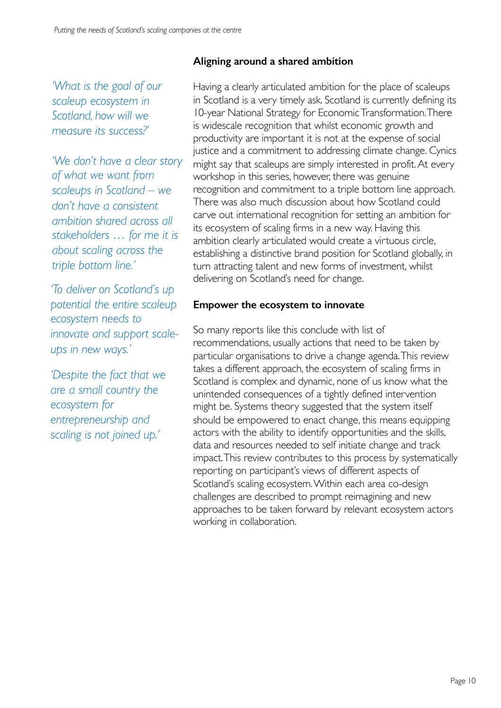## **Aligning around a shared ambition**

*'What is the goal of our scaleup ecosystem in Scotland, how will we measure its success?'*

*'We don't have a clear story of what we want from scaleups in Scotland – we don't have a consistent ambition shared across all stakeholders … for me it is about scaling across the triple bottom line.'*

*'To deliver on Scotland's up potential the entire scaleup ecosystem needs to innovate and support scaleups in new ways.'*

*'Despite the fact that we are a small country the ecosystem for entrepreneurship and scaling is not joined up.'*

Having a clearly articulated ambition for the place of scaleups in Scotland is a very timely ask. Scotland is currently defining its 10-year National Strategy for Economic Transformation. There is widescale recognition that whilst economic growth and productivity are important it is not at the expense of social justice and a commitment to addressing climate change. Cynics might say that scaleups are simply interested in profit. At every workshop in this series, however, there was genuine recognition and commitment to a triple bottom line approach. There was also much discussion about how Scotland could carve out international recognition for setting an ambition for its ecosystem of scaling firms in a new way. Having this ambition clearly articulated would create a virtuous circle, establishing a distinctive brand position for Scotland globally, in turn attracting talent and new forms of investment, whilst delivering on Scotland's need for change.

## **Empower the ecosystem to innovate**

So many reports like this conclude with list of recommendations, usually actions that need to be taken by particular organisations to drive a change agenda. This review takes a different approach, the ecosystem of scaling firms in Scotland is complex and dynamic, none of us know what the unintended consequences of a tightly defined intervention might be. Systems theory suggested that the system itself should be empowered to enact change, this means equipping actors with the ability to identify opportunities and the skills, data and resources needed to self initiate change and track impact. This review contributes to this process by systematically reporting on participant's views of different aspects of Scotland's scaling ecosystem. Within each area co-design challenges are described to prompt reimagining and new approaches to be taken forward by relevant ecosystem actors working in collaboration.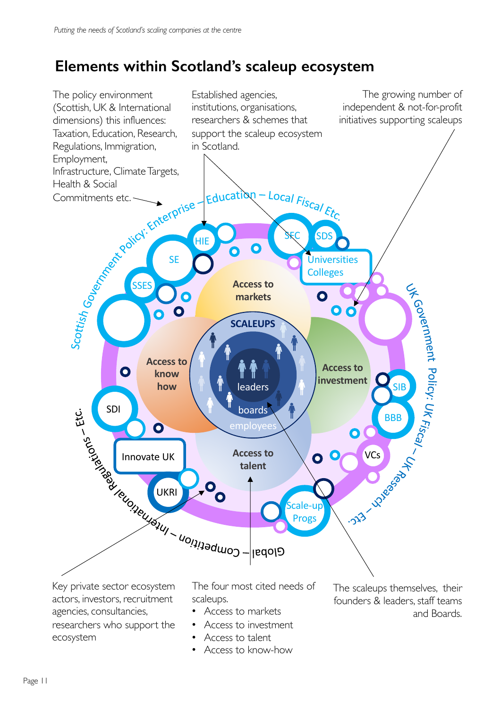# **Elements within Scotland's scaleup ecosystem**



- Access to talent
	- Access to know-how

Page 11

ecosystem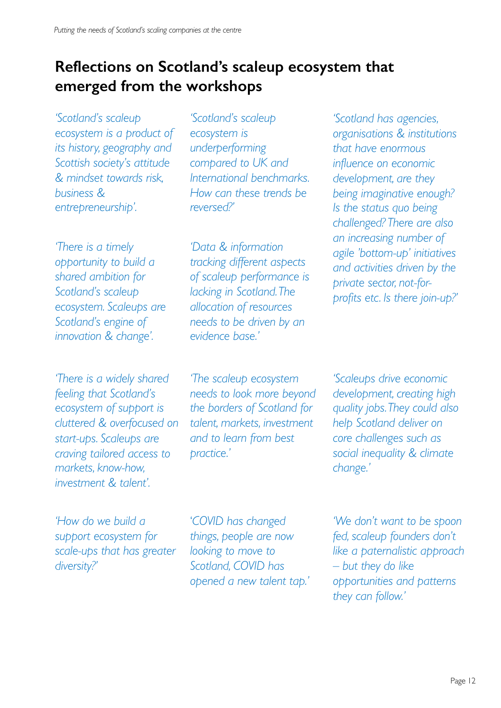# **Reflections on Scotland's scaleup ecosystem that emerged from the workshops**

*'Scotland's scaleup* 

*'Scotland's scaleup ecosystem is a product of its history, geography and Scottish society's attitude & mindset towards risk, business & entrepreneurship'.*

*'There is a timely opportunity to build a shared ambition for Scotland's scaleup ecosystem. Scaleups are Scotland's engine of innovation & change'.*

*'There is a widely shared feeling that Scotland's ecosystem of support is cluttered & overfocused on start-ups. Scaleups are craving tailored access to markets, know-how, investment & talent'.*

*ecosystem is underperforming compared to UK and International benchmarks. How can these trends be reversed?'*

*'Data & information tracking different aspects of scaleup performance is lacking in Scotland. The allocation of resources needs to be driven by an evidence base.'*

*'The scaleup ecosystem needs to look more beyond the borders of Scotland for talent, markets, investment and to learn from best practice.'*

*'Scotland has agencies, organisations & institutions that have enormous influence on economic development, are they being imaginative enough? Is the status quo being challenged? There are also an increasing number of agile 'bottom-up' initiatives and activities driven by the private sector, not-forprofits etc. Is there join-up?'*

*'Scaleups drive economic development, creating high quality jobs. They could also help Scotland deliver on core challenges such as social inequality & climate change.'*

*'How do we build a support ecosystem for scale-ups that has greater diversity?'* 

'*COVID has changed things, people are now looking to move to Scotland, COVID has opened a new talent tap.'*

*'We don't want to be spoon fed, scaleup founders don't like a paternalistic approach – but they do like opportunities and patterns they can follow.'*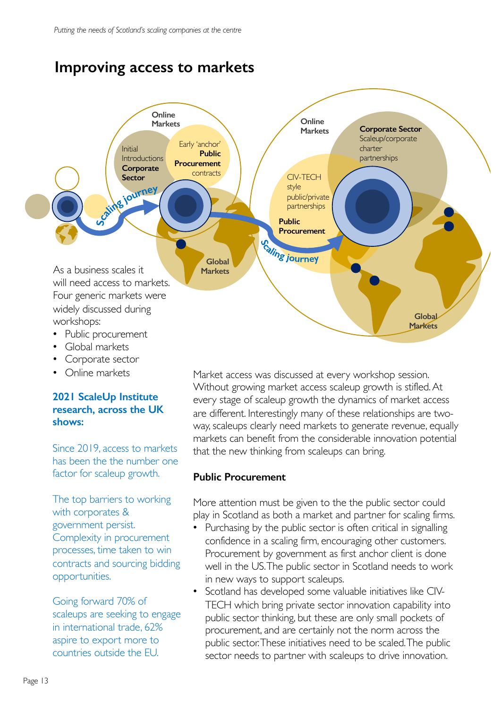# **Improving access to markets**



- Global markets
- Corporate sector
- Online markets

#### **2021 ScaleUp Institute research, across the UK shows:**

Since 2019, access to markets has been the the number one factor for scaleup growth.

The top barriers to working with corporates & government persist. Complexity in procurement processes, time taken to win contracts and sourcing bidding opportunities.

Going forward 70% of scaleups are seeking to engage in international trade, 62% aspire to export more to countries outside the EU.

Market access was discussed at every workshop session. Without growing market access scaleup growth is stifled. At every stage of scaleup growth the dynamics of market access are different. Interestingly many of these relationships are twoway, scaleups clearly need markets to generate revenue, equally markets can benefit from the considerable innovation potential that the new thinking from scaleups can bring.

#### **Public Procurement**

More attention must be given to the the public sector could play in Scotland as both a market and partner for scaling firms.

- Purchasing by the public sector is often critical in signalling confidence in a scaling firm, encouraging other customers. Procurement by government as first anchor client is done well in the US. The public sector in Scotland needs to work in new ways to support scaleups.
- Scotland has developed some valuable initiatives like CIV-TECH which bring private sector innovation capability into public sector thinking, but these are only small pockets of procurement, and are certainly not the norm across the public sector. These initiatives need to be scaled. The public sector needs to partner with scaleups to drive innovation.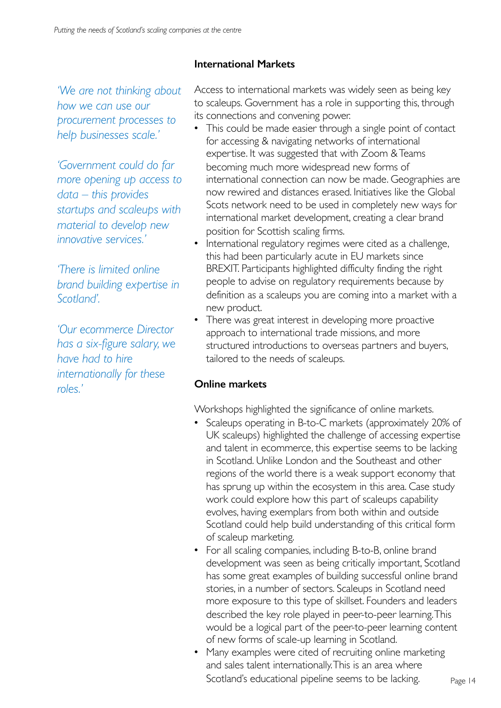*'We are not thinking about how we can use our procurement processes to help businesses scale.'*

*'Government could do far more opening up access to data – this provides startups and scaleups with material to develop new innovative services.'*

*'There is limited online brand building expertise in Scotland'.* 

*'Our ecommerce Director has a six-figure salary, we have had to hire internationally for these roles.'*

## **International Markets**

Access to international markets was widely seen as being key to scaleups. Government has a role in supporting this, through its connections and convening power.

- This could be made easier through a single point of contact for accessing & navigating networks of international expertise. It was suggested that with Zoom & Teams becoming much more widespread new forms of international connection can now be made. Geographies are now rewired and distances erased. Initiatives like the Global Scots network need to be used in completely new ways for international market development, creating a clear brand position for Scottish scaling firms.
- International regulatory regimes were cited as a challenge, this had been particularly acute in EU markets since BREXIT. Participants highlighted difficulty finding the right people to advise on regulatory requirements because by definition as a scaleups you are coming into a market with a new product.
- There was great interest in developing more proactive approach to international trade missions, and more structured introductions to overseas partners and buyers, tailored to the needs of scaleups.

## **Online markets**

Workshops highlighted the significance of online markets.

- Scaleups operating in B-to-C markets (approximately 20% of UK scaleups) highlighted the challenge of accessing expertise and talent in ecommerce, this expertise seems to be lacking in Scotland. Unlike London and the Southeast and other regions of the world there is a weak support economy that has sprung up within the ecosystem in this area. Case study work could explore how this part of scaleups capability evolves, having exemplars from both within and outside Scotland could help build understanding of this critical form of scaleup marketing.
- **2032** has some great examples of building successful online brand • For all scaling companies, including B-to-B, online brand development was seen as being critically important, Scotland stories, in a number of sectors. Scaleups in Scotland need more exposure to this type of skillset. Founders and leaders described the key role played in peer-to-peer learning. This would be a logical part of the peer-to-peer learning content of new forms of scale-up learning in Scotland.
- Many examples were cited of recruiting online marketing and sales talent internationally. This is an area where Scotland's educational pipeline seems to be lacking.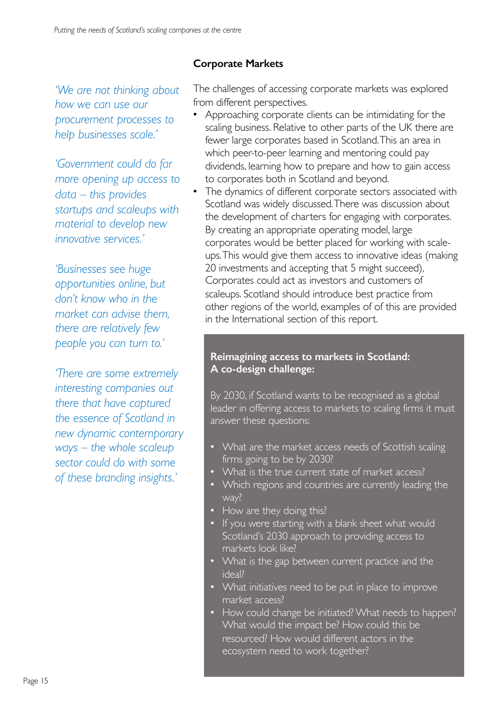*'We are not thinking about how we can use our procurement processes to help businesses scale.'*

*'Government could do far more opening up access to data – this provides startups and scaleups with material to develop new innovative services.'*

*'Businesses see huge opportunities online, but don't know who in the market can advise them, there are relatively few people you can turn to.'*

*'There are some extremely interesting companies out there that have captured the essence of Scotland in new dynamic contemporary ways – the whole scaleup sector could do with some of these branding insights.'*

## **Corporate Markets**

The challenges of accessing corporate markets was explored from different perspectives.

- Approaching corporate clients can be intimidating for the scaling business. Relative to other parts of the UK there are fewer large corporates based in Scotland. This an area in which peer-to-peer learning and mentoring could pay dividends, learning how to prepare and how to gain access to corporates both in Scotland and beyond.
- The dynamics of different corporate sectors associated with Scotland was widely discussed. There was discussion about the development of charters for engaging with corporates. By creating an appropriate operating model, large corporates would be better placed for working with scaleups. This would give them access to innovative ideas (making 20 investments and accepting that 5 might succeed), Corporates could act as investors and customers of scaleups. Scotland should introduce best practice from other regions of the world, examples of of this are provided in the International section of this report.

#### **Reimagining access to markets in Scotland: A co-design challenge:**

By 2030, if Scotland wants to be recognised as a global leader in offering access to markets to scaling firms it must answer these questions:

- What are the market access needs of Scottish scaling firms going to be by 2030?
- What is the true current state of market access?
- Which regions and countries are currently leading the way?
- How are they doing this?
- If you were starting with a blank sheet what would Scotland's 2030 approach to providing access to markets look like?
- What is the gap between current practice and the ideal?
- What initiatives need to be put in place to improve market access?
- How could change be initiated? What needs to happen? What would the impact be? How could this be resourced? How would different actors in the ecosystem need to work together?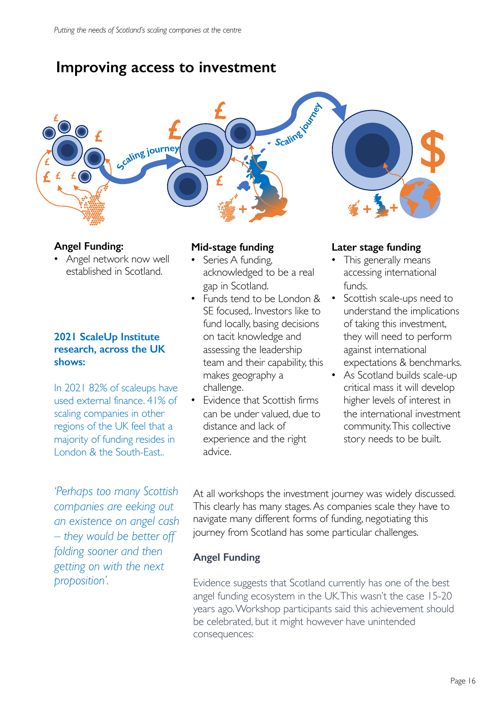# **Improving access to investment**

# **£** Scaling of Ca **£ \$ £ E**<br>Excaling journey **£ £ £ £ £ + + +**

### **Angel Funding:**

• Angel network now well established in Scotland.

#### **2021 ScaleUp Institute research, across the UK shows:**

In 2021 82% of scaleups have used external finance. 41% of scaling companies in other regions of the UK feel that a majority of funding resides in London & the South-East..

*'Perhaps too many Scottish companies are eeking out an existence on angel cash – they would be better off folding sooner and then getting on with the next proposition'.*

#### **Mid-stage funding**

- Series A funding, acknowledged to be a real gap in Scotland.
- Funds tend to be London & SE focused,. Investors like to fund locally, basing decisions on tacit knowledge and assessing the leadership team and their capability, this makes geography a challenge.
- Evidence that Scottish firms can be under valued, due to distance and lack of experience and the right advice.

#### **Later stage funding**

- This generally means accessing international funds.
- Scottish scale-ups need to understand the implications of taking this investment, they will need to perform against international expectations & benchmarks.
- As Scotland builds scale-up critical mass it will develop higher levels of interest in the international investment community. This collective story needs to be built.

At all workshops the investment journey was widely discussed. This clearly has many stages. As companies scale they have to navigate many different forms of funding, negotiating this journey from Scotland has some particular challenges.

#### **Angel Funding**

Evidence suggests that Scotland currently has one of the best angel funding ecosystem in the UK. This wasn't the case 15-20 years ago. Workshop participants said this achievement should be celebrated, but it might however have unintended consequences: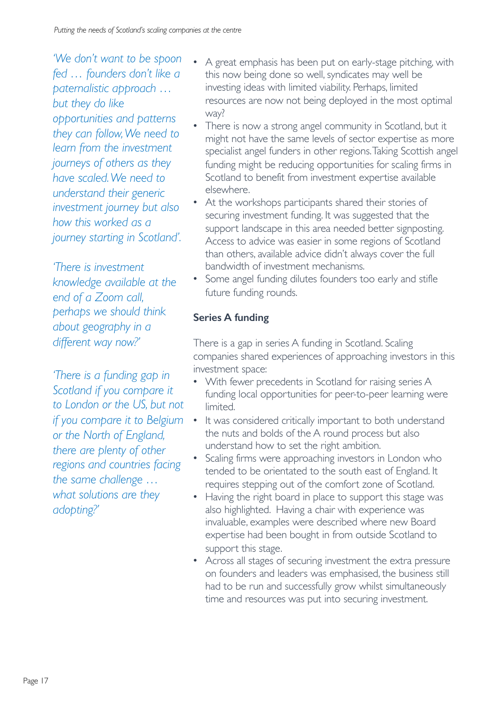*'We don't want to be spoon fed … founders don't like a paternalistic approach … but they do like opportunities and patterns they can follow,We need to learn from the investment journeys of others as they have scaled. We need to understand their generic investment journey but also how this worked as a journey starting in Scotland'.*

*'There is investment knowledge available at the end of a Zoom call, perhaps we should think about geography in a different way now?'*

*'There is a funding gap in Scotland if you compare it to London or the US, but not if you compare it to Belgium or the North of England, there are plenty of other regions and countries facing the same challenge … what solutions are they adopting?'* 

- A great emphasis has been put on early-stage pitching, with this now being done so well, syndicates may well be investing ideas with limited viability. Perhaps, limited resources are now not being deployed in the most optimal way?
- There is now a strong angel community in Scotland, but it might not have the same levels of sector expertise as more specialist angel funders in other regions. Taking Scottish angel funding might be reducing opportunities for scaling firms in Scotland to benefit from investment expertise available elsewhere.
- At the workshops participants shared their stories of securing investment funding. It was suggested that the support landscape in this area needed better signposting. Access to advice was easier in some regions of Scotland than others, available advice didn't always cover the full bandwidth of investment mechanisms.
- Some angel funding dilutes founders too early and stifle future funding rounds.

# **Series A funding**

There is a gap in series A funding in Scotland. Scaling companies shared experiences of approaching investors in this investment space:

- With fewer precedents in Scotland for raising series A funding local opportunities for peer-to-peer learning were limited.
- It was considered critically important to both understand the nuts and bolds of the A round process but also understand how to set the right ambition.
- Scaling firms were approaching investors in London who tended to be orientated to the south east of England. It requires stepping out of the comfort zone of Scotland.
- Having the right board in place to support this stage was also highlighted. Having a chair with experience was invaluable, examples were described where new Board expertise had been bought in from outside Scotland to support this stage.
- Across all stages of securing investment the extra pressure on founders and leaders was emphasised, the business still had to be run and successfully grow whilst simultaneously time and resources was put into securing investment.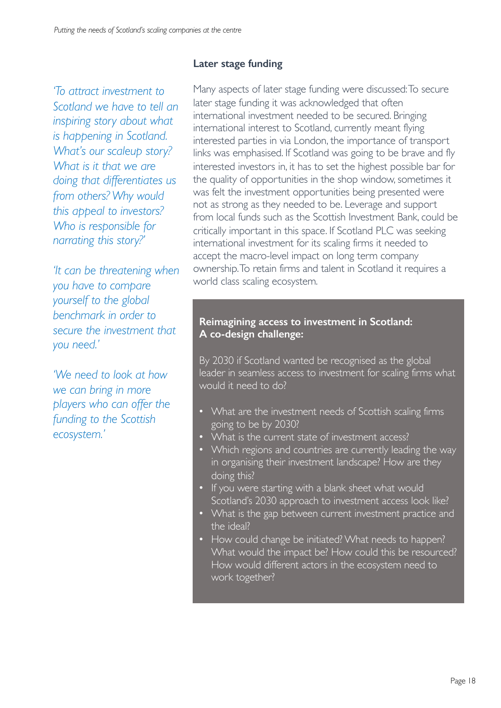*'To attract investment to Scotland we have to tell an inspiring story about what is happening in Scotland. What's our scaleup story? What is it that we are doing that differentiates us from others? Why would this appeal to investors? Who is responsible for narrating this story?'*

*'It can be threatening when you have to compare yourself to the global benchmark in order to secure the investment that you need.'*

*'We need to look at how we can bring in more players who can offer the funding to the Scottish ecosystem.'*

## **Later stage funding**

Many aspects of later stage funding were discussed: To secure later stage funding it was acknowledged that often international investment needed to be secured. Bringing international interest to Scotland, currently meant flying interested parties in via London, the importance of transport links was emphasised. If Scotland was going to be brave and fly interested investors in, it has to set the highest possible bar for the quality of opportunities in the shop window, sometimes it was felt the investment opportunities being presented were not as strong as they needed to be. Leverage and support from local funds such as the Scottish Investment Bank, could be critically important in this space. If Scotland PLC was seeking international investment for its scaling firms it needed to accept the macro-level impact on long term company ownership. To retain firms and talent in Scotland it requires a world class scaling ecosystem.

#### **Reimagining access to investment in Scotland: A co-design challenge:**

By 2030 if Scotland wanted be recognised as the global leader in seamless access to investment for scaling firms what would it need to do?

- What are the investment needs of Scottish scaling firms going to be by 2030?
- What is the current state of investment access?
- Which regions and countries are currently leading the way in organising their investment landscape? How are they doing this?
- If you were starting with a blank sheet what would Scotland's 2030 approach to investment access look like?
- What is the gap between current investment practice and the ideal?
- How could change be initiated? What needs to happen? What would the impact be? How could this be resourced? How would different actors in the ecosystem need to work together?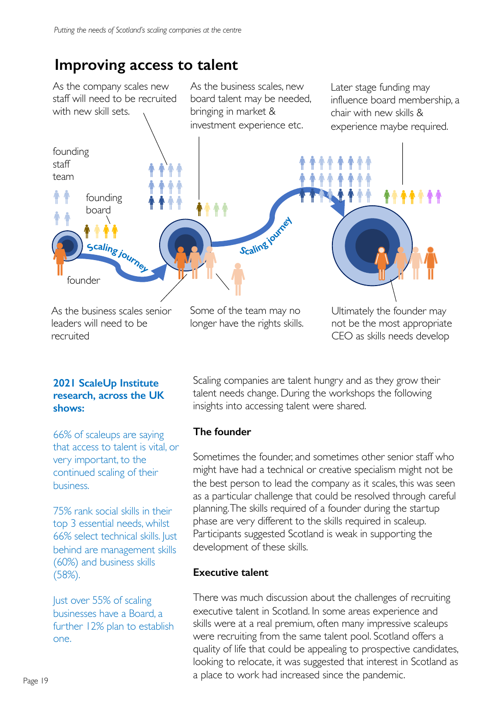# **Improving access to talent**



#### **2021 ScaleUp Institute research, across the UK shows:**

66% of scaleups are saying that access to talent is vital, or very important, to the continued scaling of their business.

75% rank social skills in their top 3 essential needs, whilst 66% select technical skills. Just behind are management skills (60%) and business skills (58%).

Just over 55% of scaling businesses have a Board, a further 12% plan to establish one.

Scaling companies are talent hungry and as they grow their talent needs change. During the workshops the following insights into accessing talent were shared.

## **The founder**

Sometimes the founder, and sometimes other senior staff who might have had a technical or creative specialism might not be the best person to lead the company as it scales, this was seen as a particular challenge that could be resolved through careful planning. The skills required of a founder during the startup phase are very different to the skills required in scaleup. Participants suggested Scotland is weak in supporting the development of these skills.

#### **Executive talent**

There was much discussion about the challenges of recruiting executive talent in Scotland. In some areas experience and skills were at a real premium, often many impressive scaleups were recruiting from the same talent pool. Scotland offers a quality of life that could be appealing to prospective candidates, looking to relocate, it was suggested that interest in Scotland as a place to work had increased since the pandemic.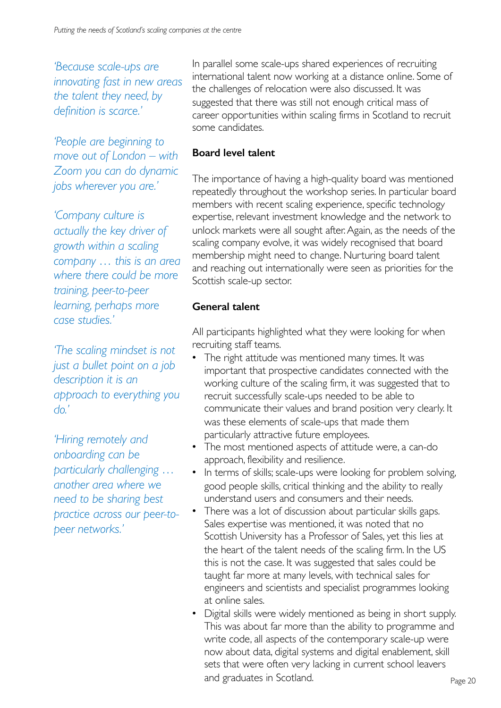*'Because scale-ups are innovating fast in new areas the talent they need, by definition is scarce.'*

*'People are beginning to move out of London – with Zoom you can do dynamic jobs wherever you are.'*

*'Company culture is actually the key driver of growth within a scaling company … this is an area where there could be more training, peer-to-peer learning, perhaps more case studies.'*

*'The scaling mindset is not just a bullet point on a job description it is an approach to everything you do.'*

*'Hiring remotely and onboarding can be particularly challenging … another area where we need to be sharing best practice across our peer-topeer networks.'*

In parallel some scale-ups shared experiences of recruiting international talent now working at a distance online. Some of the challenges of relocation were also discussed. It was suggested that there was still not enough critical mass of career opportunities within scaling firms in Scotland to recruit some candidates.

## **Board level talent**

The importance of having a high-quality board was mentioned repeatedly throughout the workshop series. In particular board members with recent scaling experience, specific technology expertise, relevant investment knowledge and the network to unlock markets were all sought after. Again, as the needs of the scaling company evolve, it was widely recognised that board membership might need to change. Nurturing board talent and reaching out internationally were seen as priorities for the Scottish scale-up sector.

## **General talent**

All participants highlighted what they were looking for when recruiting staff teams.

- The right attitude was mentioned many times. It was important that prospective candidates connected with the working culture of the scaling firm, it was suggested that to recruit successfully scale-ups needed to be able to communicate their values and brand position very clearly. It was these elements of scale-ups that made them particularly attractive future employees.
- The most mentioned aspects of attitude were, a can-do approach, flexibility and resilience.
- In terms of skills; scale-ups were looking for problem solving, good people skills, critical thinking and the ability to really understand users and consumers and their needs.
- There was a lot of discussion about particular skills gaps. Sales expertise was mentioned, it was noted that no Scottish University has a Professor of Sales, yet this lies at the heart of the talent needs of the scaling firm. In the US this is not the case. It was suggested that sales could be taught far more at many levels, with technical sales for engineers and scientists and specialist programmes looking at online sales.
- Digital skills were widely mentioned as being in short supply. This was about far more than the ability to programme and write code, all aspects of the contemporary scale-up were now about data, digital systems and digital enablement, skill sets that were often very lacking in current school leavers and graduates in Scotland.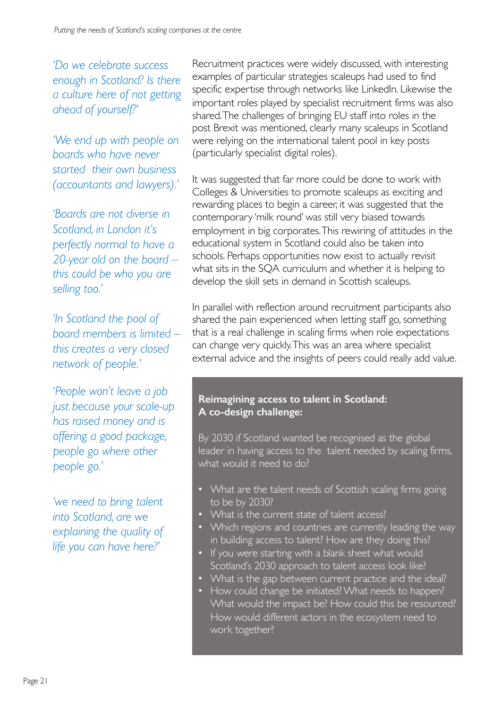*'Do we celebrate success enough in Scotland? Is there a culture here of not getting ahead of yourself?'*

*'We end up with people on boards who have never started their own business (accountants and lawyers).'*

*'Boards are not diverse in Scotland, in London it's perfectly normal to have a 20-year old on the board – this could be who you are selling too.'*

*'In Scotland the pool of board members is limited – this creates a very closed network of people.'*

'*People won't leave a job just because your scale-up has raised money and is offering a good package, people go where other people go.'*

*'we need to bring talent into Scotland, are we explaining the quality of life you can have here?'*

Recruitment practices were widely discussed, with interesting examples of particular strategies scaleups had used to find specific expertise through networks like LinkedIn. Likewise the important roles played by specialist recruitment firms was also shared. The challenges of bringing EU staff into roles in the post Brexit was mentioned, clearly many scaleups in Scotland were relying on the international talent pool in key posts (particularly specialist digital roles).

It was suggested that far more could be done to work with Colleges & Universities to promote scaleups as exciting and rewarding places to begin a career, it was suggested that the contemporary 'milk round' was still very biased towards employment in big corporates. This rewiring of attitudes in the educational system in Scotland could also be taken into schools. Perhaps opportunities now exist to actually revisit what sits in the SQA curriculum and whether it is helping to develop the skill sets in demand in Scottish scaleups.

In parallel with reflection around recruitment participants also shared the pain experienced when letting staff go, something that is a real challenge in scaling firms when role expectations can change very quickly. This was an area where specialist external advice and the insights of peers could really add value.

#### **Reimagining access to talent in Scotland: A co-design challenge:**

By 2030 if Scotland wanted be recognised as the global leader in having access to the talent needed by scaling firms, what would it need to do?

- What are the talent needs of Scottish scaling firms going to be by 2030?
- What is the current state of talent access?
- Which regions and countries are currently leading the way in building access to talent? How are they doing this?
- If you were starting with a blank sheet what would Scotland's 2030 approach to talent access look like?
- What is the gap between current practice and the ideal?
- How could change be initiated? What needs to happen? What would the impact be? How could this be resourced? How would different actors in the ecosystem need to work together?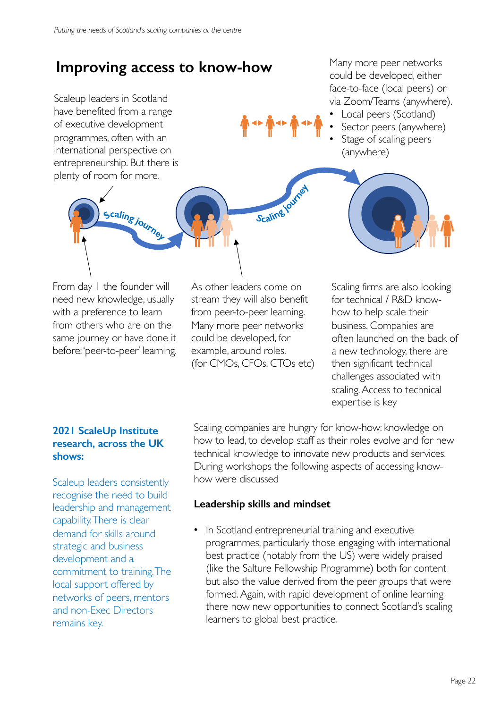# **Improving access to know-how**

Scaleup leaders in Scotland have benefited from a range of executive development programmes, often with an international perspective on entrepreneurship. But there is plenty of room for more.

scaling journey

Many more peer networks could be developed, either face-to-face (local peers) or via Zoom/Teams (anywhere).

- Local peers (Scotland)
- Sector peers (anywhere)
- Stage of scaling peers (anywhere)

From day 1 the founder will need new knowledge, usually with a preference to learn from others who are on the same journey or have done it before: 'peer-to-peer' learning.

As other leaders come on stream they will also benefit from peer-to-peer learning. Many more peer networks could be developed, for example, around roles. (for CMOs, CFOs, CTOs etc)

Scalingiour

Scaling firms are also looking for technical / R&D knowhow to help scale their business. Companies are often launched on the back of a new technology, there are then significant technical challenges associated with scaling. Access to technical expertise is key

### **2021 ScaleUp Institute research, across the UK shows:**

Scaleup leaders consistently recognise the need to build leadership and management capability. There is clear demand for skills around strategic and business development and a commitment to training. The local support offered by networks of peers, mentors and non-Exec Directors remains key.

Scaling companies are hungry for know-how: knowledge on how to lead, to develop staff as their roles evolve and for new technical knowledge to innovate new products and services. During workshops the following aspects of accessing knowhow were discussed

## **Leadership skills and mindset**

• In Scotland entrepreneurial training and executive programmes, particularly those engaging with international best practice (notably from the US) were widely praised (like the Salture Fellowship Programme) both for content but also the value derived from the peer groups that were formed. Again, with rapid development of online learning there now new opportunities to connect Scotland's scaling learners to global best practice.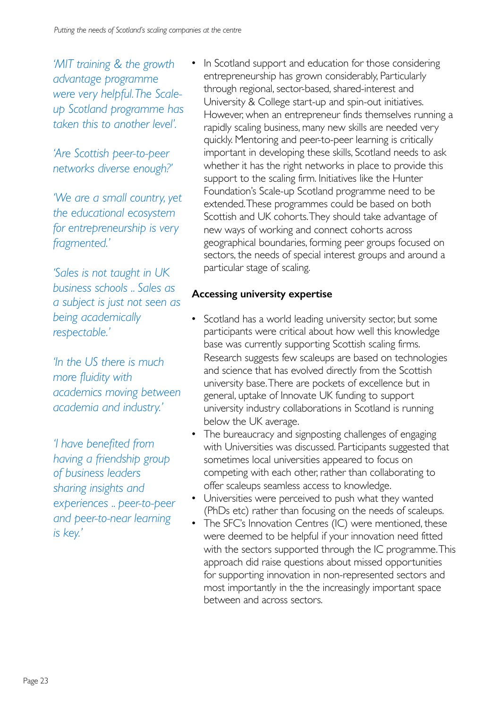*'MIT training & the growth advantage programme were very helpful. The Scaleup Scotland programme has taken this to another level'.* 

*'Are Scottish peer-to-peer networks diverse enough?'*

*'We are a small country, yet the educational ecosystem for entrepreneurship is very fragmented.'*

*'Sales is not taught in UK business schools .. Sales as a subject is just not seen as being academically respectable.'*

*'In the US there is much more fluidity with academics moving between academia and industry.'*

*'I have benefited from having a friendship group of business leaders sharing insights and experiences .. peer-to-peer and peer-to-near learning is key.'*

In Scotland support and education for those considering entrepreneurship has grown considerably, Particularly through regional, sector-based, shared-interest and University & College start-up and spin-out initiatives. However, when an entrepreneur finds themselves running a rapidly scaling business, many new skills are needed very quickly. Mentoring and peer-to-peer learning is critically important in developing these skills, Scotland needs to ask whether it has the right networks in place to provide this support to the scaling firm. Initiatives like the Hunter Foundation's Scale-up Scotland programme need to be extended. These programmes could be based on both Scottish and UK cohorts. They should take advantage of new ways of working and connect cohorts across geographical boundaries, forming peer groups focused on sectors, the needs of special interest groups and around a particular stage of scaling.

## **Accessing university expertise**

- Scotland has a world leading university sector, but some participants were critical about how well this knowledge base was currently supporting Scottish scaling firms. Research suggests few scaleups are based on technologies and science that has evolved directly from the Scottish university base. There are pockets of excellence but in general, uptake of Innovate UK funding to support university industry collaborations in Scotland is running below the UK average.
- The bureaucracy and signposting challenges of engaging with Universities was discussed. Participants suggested that sometimes local universities appeared to focus on competing with each other, rather than collaborating to offer scaleups seamless access to knowledge.
- Universities were perceived to push what they wanted (PhDs etc) rather than focusing on the needs of scaleups.
- The SFC's Innovation Centres (IC) were mentioned, these were deemed to be helpful if your innovation need fitted with the sectors supported through the IC programme. This approach did raise questions about missed opportunities for supporting innovation in non-represented sectors and most importantly in the the increasingly important space between and across sectors.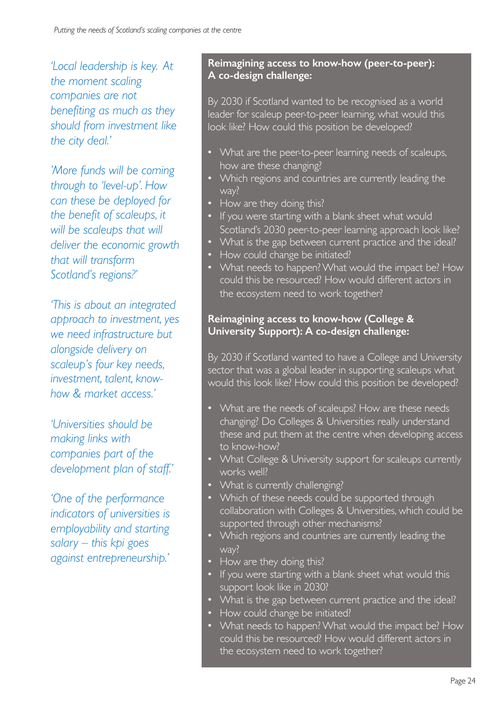*'Local leadership is key. At the moment scaling companies are not benefiting as much as they should from investment like the city deal.'*

*'More funds will be coming through to 'level-up'. How can these be deployed for the benefit of scaleups, it will be scaleups that will deliver the economic growth that will transform Scotland's regions?'*

*'This is about an integrated approach to investment, yes we need infrastructure but alongside delivery on scaleup's four key needs, investment, talent, knowhow & market access.'*

*'Universities should be making links with companies part of the development plan of staff.'*

*'One of the performance indicators of universities is employability and starting salary – this kpi goes against entrepreneurship.'* 

#### **Reimagining access to know-how (peer-to-peer): A co-design challenge:**

By 2030 if Scotland wanted to be recognised as a world leader for scaleup peer-to-peer learning, what would this look like? How could this position be developed?

- What are the peer-to-peer learning needs of scaleups, how are these changing?
- Which regions and countries are currently leading the way?
- How are they doing this?
- If you were starting with a blank sheet what would Scotland's 2030 peer-to-peer learning approach look like?
- What is the gap between current practice and the ideal?
- How could change be initiated?
- What needs to happen? What would the impact be? How could this be resourced? How would different actors in the ecosystem need to work together?

### **Reimagining access to know-how (College & University Support): A co-design challenge:**

By 2030 if Scotland wanted to have a College and University sector that was a global leader in supporting scaleups what would this look like? How could this position be developed?

- What are the needs of scaleups? How are these needs changing? Do Colleges & Universities really understand these and put them at the centre when developing access to know-how?
- What College & University support for scaleups currently works well?
- What is currently challenging?
- Which of these needs could be supported through collaboration with Colleges & Universities, which could be supported through other mechanisms?
- Which regions and countries are currently leading the way?
- How are they doing this?
- If you were starting with a blank sheet what would this support look like in 2030?
- What is the gap between current practice and the ideal?
- How could change be initiated?
- What needs to happen? What would the impact be? How could this be resourced? How would different actors in the ecosystem need to work together?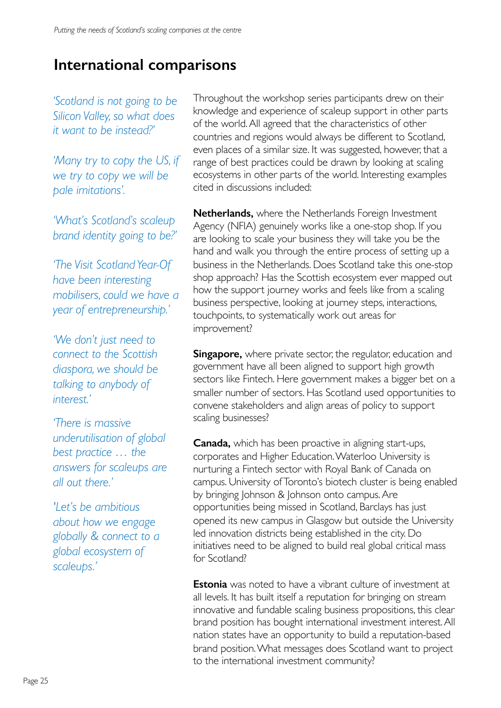# **International comparisons**

*'Scotland is not going to be Silicon Valley, so what does it want to be instead?'*

*'Many try to copy the US, if we try to copy we will be pale imitations'.*

*'What's Scotland's scaleup brand identity going to be?'*

*'The Visit Scotland Year-Of have been interesting mobilisers, could we have a year of entrepreneurship.'*

*'We don't just need to connect to the Scottish diaspora, we should be talking to anybody of interest.'*

*'There is massive underutilisation of global best practice … the answers for scaleups are all out there.'*

*'Let's be ambitious about how we engage globally & connect to a global ecosystem of scaleups.'*

Throughout the workshop series participants drew on their knowledge and experience of scaleup support in other parts of the world. All agreed that the characteristics of other countries and regions would always be different to Scotland, even places of a similar size. It was suggested, however, that a range of best practices could be drawn by looking at scaling ecosystems in other parts of the world. Interesting examples cited in discussions included:

**Netherlands,** where the Netherlands Foreign Investment Agency (NFIA) genuinely works like a one-stop shop. If you are looking to scale your business they will take you be the hand and walk you through the entire process of setting up a business in the Netherlands. Does Scotland take this one-stop shop approach? Has the Scottish ecosystem ever mapped out how the support journey works and feels like from a scaling business perspective, looking at journey steps, interactions, touchpoints, to systematically work out areas for improvement?

**Singapore,** where private sector, the regulator, education and government have all been aligned to support high growth sectors like Fintech. Here government makes a bigger bet on a smaller number of sectors. Has Scotland used opportunities to convene stakeholders and align areas of policy to support scaling businesses?

**Canada,** which has been proactive in aligning start-ups, corporates and Higher Education. Waterloo University is nurturing a Fintech sector with Royal Bank of Canada on campus. University of Toronto's biotech cluster is being enabled by bringing Johnson & Johnson onto campus. Are opportunities being missed in Scotland, Barclays has just opened its new campus in Glasgow but outside the University led innovation districts being established in the city. Do initiatives need to be aligned to build real global critical mass for Scotland?

**Estonia** was noted to have a vibrant culture of investment at all levels. It has built itself a reputation for bringing on stream innovative and fundable scaling business propositions, this clear brand position has bought international investment interest. All nation states have an opportunity to build a reputation-based brand position. What messages does Scotland want to project to the international investment community?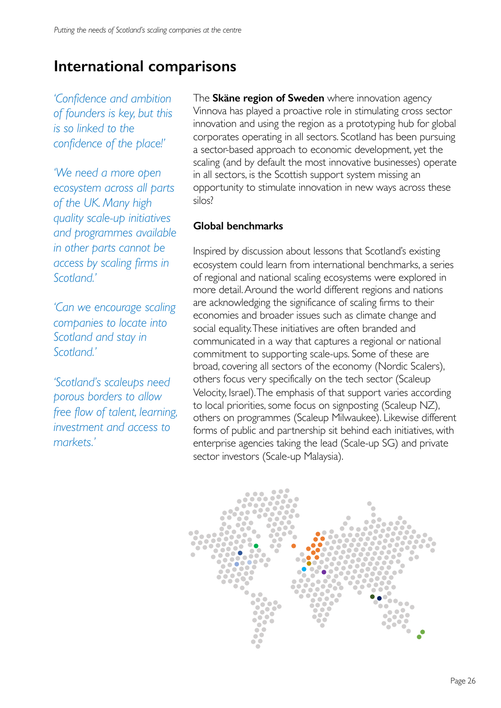# **International comparisons**

*'Confidence and ambition of founders is key, but this is so linked to the confidence of the place!'* 

*'We need a more open ecosystem across all parts of the UK. Many high quality scale-up initiatives and programmes available in other parts cannot be access by scaling firms in Scotland.'*

*'Can we encourage scaling companies to locate into Scotland and stay in Scotland.'*

*'Scotland's scaleups need porous borders to allow free flow of talent, learning, investment and access to markets.'*

The **Skäne region of Sweden** where innovation agency Vinnova has played a proactive role in stimulating cross sector innovation and using the region as a prototyping hub for global corporates operating in all sectors. Scotland has been pursuing a sector-based approach to economic development, yet the scaling (and by default the most innovative businesses) operate in all sectors, is the Scottish support system missing an opportunity to stimulate innovation in new ways across these silos?

## **Global benchmarks**

Inspired by discussion about lessons that Scotland's existing ecosystem could learn from international benchmarks, a series of regional and national scaling ecosystems were explored in more detail. Around the world different regions and nations are acknowledging the significance of scaling firms to their economies and broader issues such as climate change and social equality. These initiatives are often branded and communicated in a way that captures a regional or national commitment to supporting scale-ups. Some of these are broad, covering all sectors of the economy (Nordic Scalers), others focus very specifically on the tech sector (Scaleup Velocity, Israel). The emphasis of that support varies according to local priorities, some focus on signposting (Scaleup NZ), others on programmes (Scaleup Milwaukee). Likewise different forms of public and partnership sit behind each initiatives, with enterprise agencies taking the lead (Scale-up SG) and private sector investors (Scale-up Malaysia).

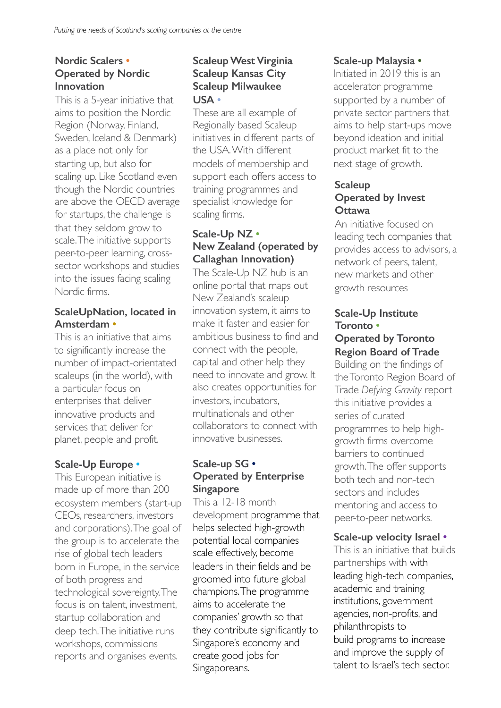#### **Nordic Scalers • Operated by Nordic Innovation**

This is a 5-year initiative that aims to position the Nordic Region (Norway, Finland, Sweden, Iceland & Denmark) as a place not only for starting up, but also for scaling up. Like Scotland even though the Nordic countries are above the OECD average for startups, the challenge is that they seldom grow to scale. The initiative supports peer-to-peer learning, crosssector workshops and studies into the issues facing scaling Nordic firms.

#### **ScaleUpNation, located in Amsterdam •**

This is an initiative that aims to significantly increase the number of impact-orientated scaleups (in the world), with a particular focus on enterprises that deliver innovative products and services that deliver for planet, people and profit.

#### **Scale-Up Europe •**

This European initiative is made up of more than 200 ecosystem members (start-up CEOs, researchers, investors and corporations). The goal of the group is to accelerate the rise of global tech leaders born in Europe, in the service of both progress and technological sovereignty. The focus is on talent, investment, startup collaboration and deep tech. The initiative runs workshops, commissions reports and organises events.

### **Scaleup West Virginia Scaleup Kansas City Scaleup Milwaukee USA •**

These are all example of Regionally based Scaleup initiatives in different parts of the USA. With different models of membership and support each offers access to training programmes and specialist knowledge for scaling firms.

### **Scale-Up NZ • New Zealand (operated by Callaghan Innovation)**

The Scale-Up NZ hub is an online portal that maps out New Zealand's scaleup innovation system, it aims to make it faster and easier for ambitious business to find and connect with the people, capital and other help they need to innovate and grow. It also creates opportunities for investors, incubators, multinationals and other collaborators to connect with innovative businesses.

## **Scale-up SG • Operated by Enterprise Singapore**

This a 12-18 month development programme that helps selected high-growth potential local companies scale effectively, become leaders in their fields and be groomed into future global champions. The programme aims to accelerate the companies' growth so that they contribute significantly to Singapore's economy and create good jobs for Singaporeans.

#### **Scale-up Malaysia •**

Initiated in 2019 this is an accelerator programme supported by a number of private sector partners that aims to help start-ups move beyond ideation and initial product market fit to the next stage of growth.

#### **Scaleup Operated by Invest Ottawa**

An initiative focused on leading tech companies that provides access to advisors, a network of peers, talent, new markets and other growth resources

#### **Scale-Up Institute Toronto • Operated by Toronto**

# **Region Board of Trade**

Building on the findings of the Toronto Region Board of Trade *Defying Gravity* report this initiative provides a series of curated programmes to help highgrowth firms overcome barriers to continued growth. The offer supports both tech and non-tech sectors and includes mentoring and access to peer-to-peer networks.

#### **Scale-up velocity Israel •**

This is an initiative that builds partnerships with with leading high-tech companies, academic and training institutions, government agencies, non-profits, and philanthropists to build programs to increase and improve the supply of talent to Israel's tech sector.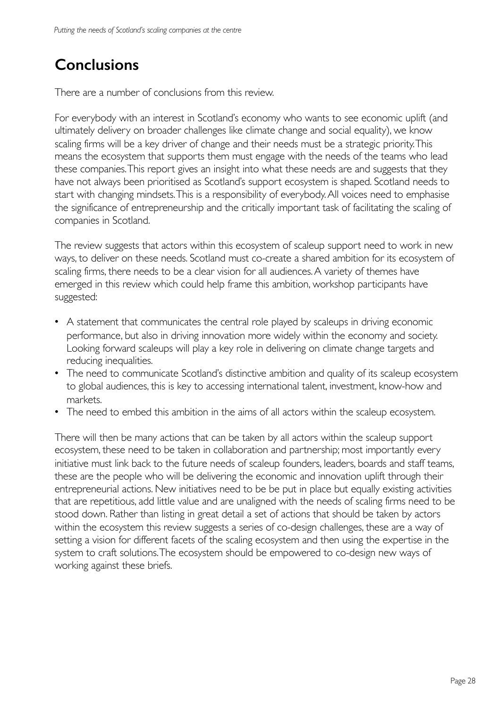# **Conclusions**

There are a number of conclusions from this review.

For everybody with an interest in Scotland's economy who wants to see economic uplift (and ultimately delivery on broader challenges like climate change and social equality), we know scaling firms will be a key driver of change and their needs must be a strategic priority. This means the ecosystem that supports them must engage with the needs of the teams who lead these companies. This report gives an insight into what these needs are and suggests that they have not always been prioritised as Scotland's support ecosystem is shaped. Scotland needs to start with changing mindsets. This is a responsibility of everybody. All voices need to emphasise the significance of entrepreneurship and the critically important task of facilitating the scaling of companies in Scotland.

The review suggests that actors within this ecosystem of scaleup support need to work in new ways, to deliver on these needs. Scotland must co-create a shared ambition for its ecosystem of scaling firms, there needs to be a clear vision for all audiences. A variety of themes have emerged in this review which could help frame this ambition, workshop participants have suggested:

- A statement that communicates the central role played by scaleups in driving economic performance, but also in driving innovation more widely within the economy and society. Looking forward scaleups will play a key role in delivering on climate change targets and reducing inequalities.
- The need to communicate Scotland's distinctive ambition and quality of its scaleup ecosystem to global audiences, this is key to accessing international talent, investment, know-how and markets.
- The need to embed this ambition in the aims of all actors within the scaleup ecosystem.

There will then be many actions that can be taken by all actors within the scaleup support ecosystem, these need to be taken in collaboration and partnership; most importantly every initiative must link back to the future needs of scaleup founders, leaders, boards and staff teams, these are the people who will be delivering the economic and innovation uplift through their entrepreneurial actions. New initiatives need to be be put in place but equally existing activities that are repetitious, add little value and are unaligned with the needs of scaling firms need to be stood down. Rather than listing in great detail a set of actions that should be taken by actors within the ecosystem this review suggests a series of co-design challenges, these are a way of setting a vision for different facets of the scaling ecosystem and then using the expertise in the system to craft solutions. The ecosystem should be empowered to co-design new ways of working against these briefs.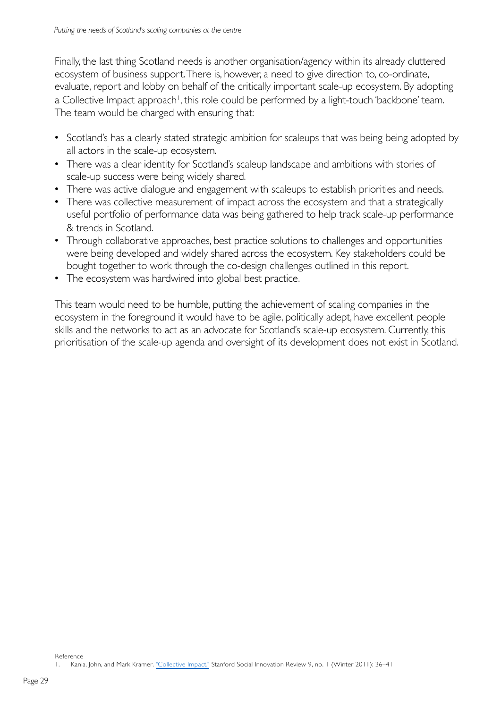Finally, the last thing Scotland needs is another organisation/agency within its already cluttered ecosystem of business support. There is, however, a need to give direction to, co-ordinate, evaluate, report and lobby on behalf of the critically important scale-up ecosystem. By adopting a Collective Impact approach<sup>1</sup>, this role could be performed by a light-touch 'backbone' team. The team would be charged with ensuring that:

- Scotland's has a clearly stated strategic ambition for scaleups that was being being adopted by all actors in the scale-up ecosystem.
- There was a clear identity for Scotland's scaleup landscape and ambitions with stories of scale-up success were being widely shared.
- There was active dialogue and engagement with scaleups to establish priorities and needs.
- There was collective measurement of impact across the ecosystem and that a strategically useful portfolio of performance data was being gathered to help track scale-up performance & trends in Scotland.
- Through collaborative approaches, best practice solutions to challenges and opportunities were being developed and widely shared across the ecosystem. Key stakeholders could be bought together to work through the co-design challenges outlined in this report.
- The ecosystem was hardwired into global best practice.

This team would need to be humble, putting the achievement of scaling companies in the ecosystem in the foreground it would have to be agile, politically adept, have excellent people skills and the networks to act as an advocate for Scotland's scale-up ecosystem. Currently, this prioritisation of the scale-up agenda and oversight of its development does not exist in Scotland.

Reference

Kania, John, and Mark Kramer. ["Collective Impa](https://ssir.org/articles/entry/collective_impact)ct." Stanford Social Innovation Review 9, no. 1 (Winter 2011): 36-41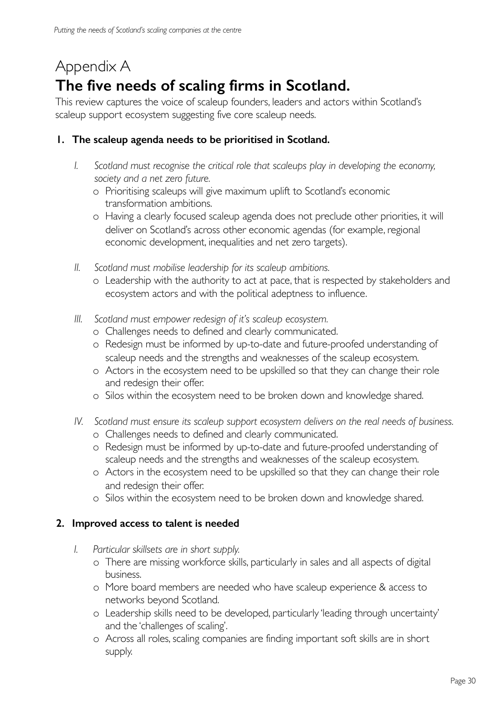# Appendix A **The five needs of scaling firms in Scotland.**

This review captures the voice of scaleup founders, leaders and actors within Scotland's scaleup support ecosystem suggesting five core scaleup needs.

### **1. The scaleup agenda needs to be prioritised in Scotland.**

- *I. Scotland must recognise the critical role that scaleups play in developing the economy, society and a net zero future.* 
	- o Prioritising scaleups will give maximum uplift to Scotland's economic transformation ambitions.
	- o Having a clearly focused scaleup agenda does not preclude other priorities, it will deliver on Scotland's across other economic agendas (for example, regional economic development, inequalities and net zero targets).
- *II. Scotland must mobilise leadership for its scaleup ambitions.*
	- o Leadership with the authority to act at pace, that is respected by stakeholders and ecosystem actors and with the political adeptness to influence.
- *III. Scotland must empower redesign of it's scaleup ecosystem.*
	- o Challenges needs to defined and clearly communicated.
	- o Redesign must be informed by up-to-date and future-proofed understanding of scaleup needs and the strengths and weaknesses of the scaleup ecosystem.
	- o Actors in the ecosystem need to be upskilled so that they can change their role and redesign their offer.
	- o Silos within the ecosystem need to be broken down and knowledge shared.
- *IV. Scotland must ensure its scaleup support ecosystem delivers on the real needs of business.*
	- o Challenges needs to defined and clearly communicated.
	- o Redesign must be informed by up-to-date and future-proofed understanding of scaleup needs and the strengths and weaknesses of the scaleup ecosystem.
	- o Actors in the ecosystem need to be upskilled so that they can change their role and redesign their offer.
	- o Silos within the ecosystem need to be broken down and knowledge shared.

## **2. Improved access to talent is needed**

- *I. Particular skillsets are in short supply.*
	- o There are missing workforce skills, particularly in sales and all aspects of digital business.
	- o More board members are needed who have scaleup experience & access to networks beyond Scotland.
	- o Leadership skills need to be developed, particularly 'leading through uncertainty' and the 'challenges of scaling'.
	- o Across all roles, scaling companies are finding important soft skills are in short supply.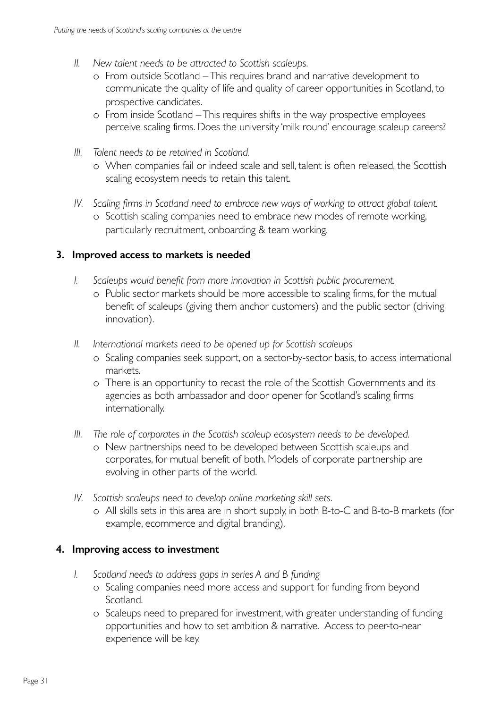- *II. New talent needs to be attracted to Scottish scaleups.*
	- o From outside Scotland –This requires brand and narrative development to communicate the quality of life and quality of career opportunities in Scotland, to prospective candidates.
	- o From inside Scotland –This requires shifts in the way prospective employees perceive scaling firms. Does the university 'milk round' encourage scaleup careers?
- *III. Talent needs to be retained in Scotland.*
	- o When companies fail or indeed scale and sell, talent is often released, the Scottish scaling ecosystem needs to retain this talent.
- *IV. Scaling firms in Scotland need to embrace new ways of working to attract global talent.* o Scottish scaling companies need to embrace new modes of remote working, particularly recruitment, onboarding & team working.

#### **3. Improved access to markets is needed**

- *I. Scaleups would benefit from more innovation in Scottish public procurement.*
	- o Public sector markets should be more accessible to scaling firms, for the mutual benefit of scaleups (giving them anchor customers) and the public sector (driving innovation).
- *II. International markets need to be opened up for Scottish scaleups*
	- o Scaling companies seek support, on a sector-by-sector basis, to access international markets.
	- o There is an opportunity to recast the role of the Scottish Governments and its agencies as both ambassador and door opener for Scotland's scaling firms internationally.
- *III. The role of corporates in the Scottish scaleup ecosystem needs to be developed.*
	- o New partnerships need to be developed between Scottish scaleups and corporates, for mutual benefit of both. Models of corporate partnership are evolving in other parts of the world.
- *IV. Scottish scaleups need to develop online marketing skill sets.*
	- o All skills sets in this area are in short supply, in both B-to-C and B-to-B markets (for example, ecommerce and digital branding).

## **4. Improving access to investment**

- *I. Scotland needs to address gaps in series A and B funding*
	- o Scaling companies need more access and support for funding from beyond Scotland.
	- o Scaleups need to prepared for investment, with greater understanding of funding opportunities and how to set ambition & narrative. Access to peer-to-near experience will be key.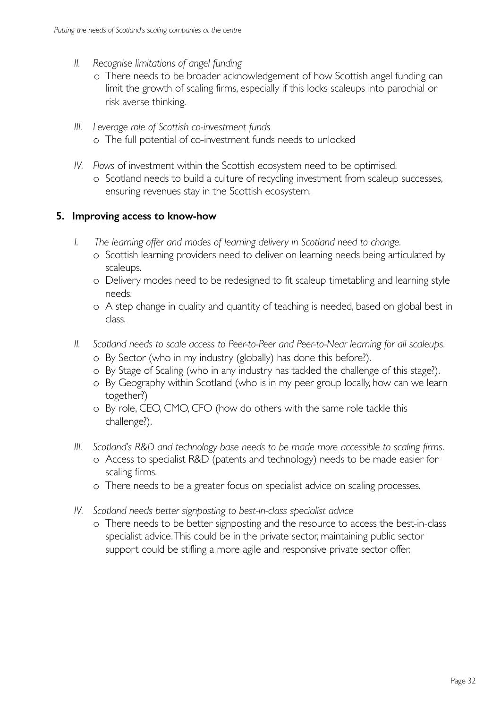- *II. Recognise limitations of angel funding*
	- o There needs to be broader acknowledgement of how Scottish angel funding can limit the growth of scaling firms, especially if this locks scaleups into parochial or risk averse thinking.
- *III. Leverage role of Scottish co-investment funds*  o The full potential of co-investment funds needs to unlocked
- *IV. Flows* of investment within the Scottish ecosystem need to be optimised.
	- o Scotland needs to build a culture of recycling investment from scaleup successes, ensuring revenues stay in the Scottish ecosystem.

#### **5. Improving access to know-how**

- *I. The learning offer and modes of learning delivery in Scotland need to change.*
	- o Scottish learning providers need to deliver on learning needs being articulated by scaleups.
	- o Delivery modes need to be redesigned to fit scaleup timetabling and learning style needs.
	- o A step change in quality and quantity of teaching is needed, based on global best in class.
- *II. Scotland needs to scale access to Peer-to-Peer and Peer-to-Near learning for all scaleups.*
	- o By Sector (who in my industry (globally) has done this before?).
	- o By Stage of Scaling (who in any industry has tackled the challenge of this stage?).
	- o By Geography within Scotland (who is in my peer group locally, how can we learn together?)
	- o By role, CEO, CMO, CFO (how do others with the same role tackle this challenge?).
- *III. Scotland's R&D and technology base needs to be made more accessible to scaling firms.* 
	- o Access to specialist R&D (patents and technology) needs to be made easier for scaling firms.
	- o There needs to be a greater focus on specialist advice on scaling processes.
- *IV. Scotland needs better signposting to best-in-class specialist advice*
	- o There needs to be better signposting and the resource to access the best-in-class specialist advice. This could be in the private sector, maintaining public sector support could be stifling a more agile and responsive private sector offer.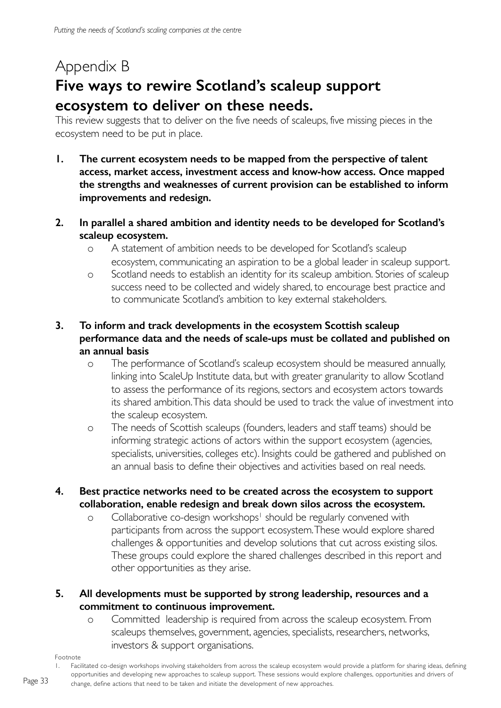# Appendix B **Five ways to rewire Scotland's scaleup support ecosystem to deliver on these needs.**

This review suggests that to deliver on the five needs of scaleups, five missing pieces in the ecosystem need to be put in place.

- **1. The current ecosystem needs to be mapped from the perspective of talent access, market access, investment access and know-how access. Once mapped the strengths and weaknesses of current provision can be established to inform improvements and redesign.**
- **2. In parallel a shared ambition and identity needs to be developed for Scotland's scaleup ecosystem.**
	- o A statement of ambition needs to be developed for Scotland's scaleup ecosystem, communicating an aspiration to be a global leader in scaleup support.
	- o Scotland needs to establish an identity for its scaleup ambition. Stories of scaleup success need to be collected and widely shared, to encourage best practice and to communicate Scotland's ambition to key external stakeholders.

## **3. To inform and track developments in the ecosystem Scottish scaleup performance data and the needs of scale-ups must be collated and published on an annual basis**

- o The performance of Scotland's scaleup ecosystem should be measured annually, linking into ScaleUp Institute data, but with greater granularity to allow Scotland to assess the performance of its regions, sectors and ecosystem actors towards its shared ambition. This data should be used to track the value of investment into the scaleup ecosystem.
- o The needs of Scottish scaleups (founders, leaders and staff teams) should be informing strategic actions of actors within the support ecosystem (agencies, specialists, universities, colleges etc). Insights could be gathered and published on an annual basis to define their objectives and activities based on real needs.

## **4. Best practice networks need to be created across the ecosystem to support collaboration, enable redesign and break down silos across the ecosystem.**

o Collaborative co-design workshops<sup>1</sup> should be regularly convened with participants from across the support ecosystem. These would explore shared challenges & opportunities and develop solutions that cut across existing silos. These groups could explore the shared challenges described in this report and other opportunities as they arise.

### **5. All developments must be supported by strong leadership, resources and a commitment to continuous improvement.**

o Committed leadership is required from across the scaleup ecosystem. From scaleups themselves, government, agencies, specialists, researchers, networks, investors & support organisations.

Footnote

<sup>1.</sup> Facilitated co-design workshops involving stakeholders from across the scaleup ecosystem would provide a platform for sharing ideas, defining opportunities and developing new approaches to scaleup support. These sessions would explore challenges, opportunities and drivers of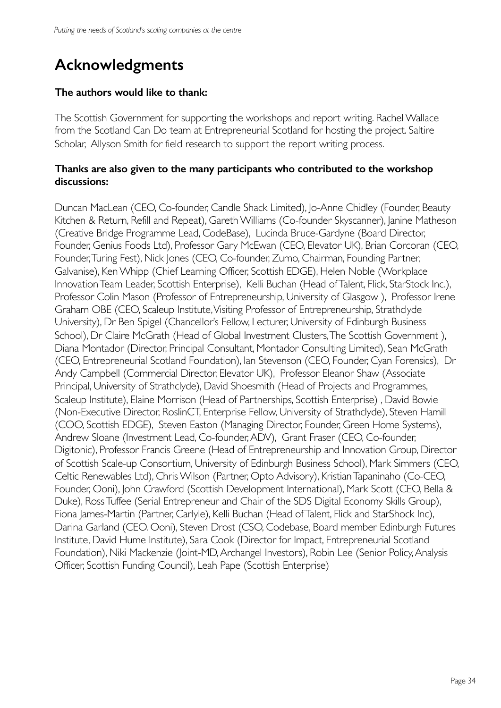# **Acknowledgments**

#### **The authors would like to thank:**

The Scottish Government for supporting the workshops and report writing. Rachel Wallace from the Scotland Can Do team at Entrepreneurial Scotland for hosting the project. Saltire Scholar, Allyson Smith for field research to support the report writing process.

#### **Thanks are also given to the many participants who contributed to the workshop discussions:**

Duncan MacLean (CEO, Co-founder, Candle Shack Limited), Jo-Anne Chidley (Founder, Beauty Kitchen & Return, Refill and Repeat), Gareth Williams (Co-founder Skyscanner), Janine Matheson (Creative Bridge Programme Lead, CodeBase), Lucinda Bruce-Gardyne (Board Director, Founder, Genius Foods Ltd), Professor Gary McEwan (CEO, Elevator UK), Brian Corcoran (CEO, Founder, Turing Fest), Nick Jones (CEO, Co-founder, Zumo, Chairman, Founding Partner, Galvanise), Ken Whipp (Chief Learning Officer, Scottish EDGE), Helen Noble (Workplace Innovation Team Leader, Scottish Enterprise), Kelli Buchan (Head of Talent, Flick, StarStock Inc.), Professor Colin Mason (Professor of Entrepreneurship, University of Glasgow ), Professor Irene Graham OBE (CEO, Scaleup Institute, Visiting Professor of Entrepreneurship, Strathclyde University), Dr Ben Spigel (Chancellor's Fellow, Lecturer, University of Edinburgh Business School), Dr Claire McGrath (Head of Global Investment Clusters, The Scottish Government ), Diana Montador (Director, Principal Consultant, Montador Consulting Limited), Sean McGrath (CEO, Entrepreneurial Scotland Foundation), Ian Stevenson (CEO, Founder, Cyan Forensics), Dr Andy Campbell (Commercial Director, Elevator UK), Professor Eleanor Shaw (Associate Principal, University of Strathclyde), David Shoesmith (Head of Projects and Programmes, Scaleup Institute), Elaine Morrison (Head of Partnerships, Scottish Enterprise) , David Bowie (Non-Executive Director, RoslinCT, Enterprise Fellow, University of Strathclyde), Steven Hamill (COO, Scottish EDGE), Steven Easton (Managing Director, Founder, Green Home Systems), Andrew Sloane (Investment Lead, Co-founder, ADV), Grant Fraser (CEO, Co-founder, Digitonic), Professor Francis Greene (Head of Entrepreneurship and Innovation Group, Director of Scottish Scale-up Consortium, University of Edinburgh Business School), Mark Simmers (CEO, Celtic Renewables Ltd), Chris Wilson (Partner, Opto Advisory), Kristian Tapaninaho (Co-CEO, Founder, Ooni), John Crawford (Scottish Development International), Mark Scott (CEO, Bella & Duke), Ross Tuffee (Serial Entrepreneur and Chair of the SDS Digital Economy Skills Group), Fiona James-Martin (Partner, Carlyle), Kelli Buchan (Head of Talent, Flick and StarShock Inc), Darina Garland (CEO. Ooni), Steven Drost (CSO, Codebase, Board member Edinburgh Futures Institute, David Hume Institute), Sara Cook (Director for Impact, Entrepreneurial Scotland Foundation), Niki Mackenzie (Joint-MD, Archangel Investors), Robin Lee (Senior Policy, Analysis Officer, Scottish Funding Council), Leah Pape (Scottish Enterprise)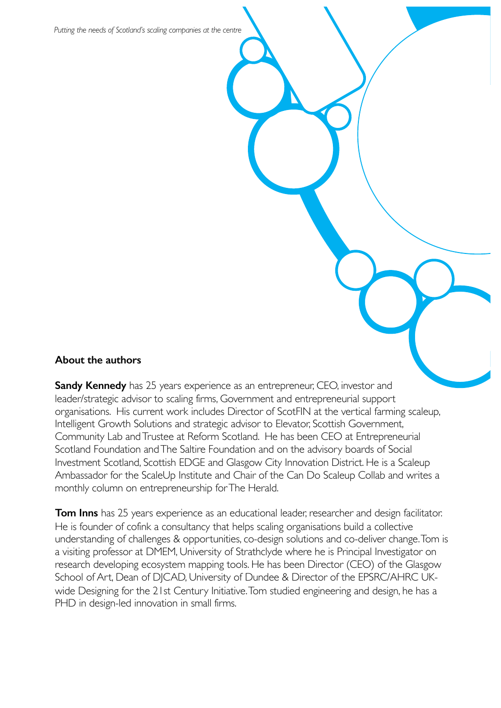*Putting the needs of Scotland's scaling companies at the centre*

#### **About the authors**

**Sandy Kennedy** has 25 years experience as an entrepreneur, CEO, investor and leader/strategic advisor to scaling firms, Government and entrepreneurial support organisations. His current work includes Director of ScotFIN at the vertical farming scaleup, Intelligent Growth Solutions and strategic advisor to Elevator, Scottish Government, Community Lab and Trustee at Reform Scotland. He has been CEO at Entrepreneurial Scotland Foundation and The Saltire Foundation and on the advisory boards of Social Investment Scotland, Scottish EDGE and Glasgow City Innovation District. He is a Scaleup Ambassador for the ScaleUp Institute and Chair of the Can Do Scaleup Collab and writes a monthly column on entrepreneurship for The Herald.

**Tom Inns** has 25 years experience as an educational leader, researcher and design facilitator. He is founder of cofink a consultancy that helps scaling organisations build a collective understanding of challenges & opportunities, co-design solutions and co-deliver change. Tom is a visiting professor at DMEM, University of Strathclyde where he is Principal Investigator on research developing ecosystem mapping tools. He has been Director (CEO) of the Glasgow School of Art, Dean of DJCAD, University of Dundee & Director of the EPSRC/AHRC UKwide Designing for the 21st Century Initiative. Tom studied engineering and design, he has a PHD in design-led innovation in small firms.